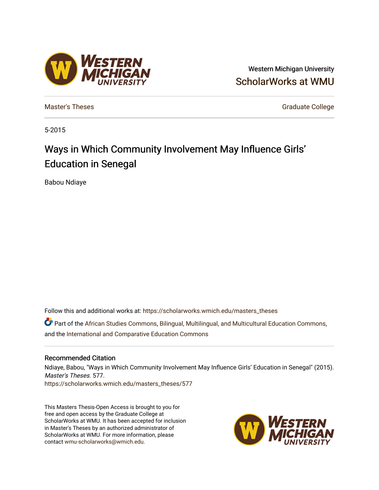# Western Michigan University [ScholarWorks at WMU](https://scholarworks.wmich.edu/)

[Master's Theses](https://scholarworks.wmich.edu/masters_theses) [Graduate College](https://scholarworks.wmich.edu/grad) Controller College College College College College

5-2015

# Ways in Which Community Involvement May Influence Girls' Education in Senegal

Babou Ndiaye

Follow this and additional works at: [https://scholarworks.wmich.edu/masters\\_theses](https://scholarworks.wmich.edu/masters_theses?utm_source=scholarworks.wmich.edu%2Fmasters_theses%2F577&utm_medium=PDF&utm_campaign=PDFCoverPages) 

Part of the [African Studies Commons,](http://network.bepress.com/hgg/discipline/1043?utm_source=scholarworks.wmich.edu%2Fmasters_theses%2F577&utm_medium=PDF&utm_campaign=PDFCoverPages) [Bilingual, Multilingual, and Multicultural Education Commons](http://network.bepress.com/hgg/discipline/785?utm_source=scholarworks.wmich.edu%2Fmasters_theses%2F577&utm_medium=PDF&utm_campaign=PDFCoverPages), and the [International and Comparative Education Commons](http://network.bepress.com/hgg/discipline/797?utm_source=scholarworks.wmich.edu%2Fmasters_theses%2F577&utm_medium=PDF&utm_campaign=PDFCoverPages) 

#### Recommended Citation

Ndiaye, Babou, "Ways in Which Community Involvement May Influence Girls' Education in Senegal" (2015). Master's Theses. 577.

[https://scholarworks.wmich.edu/masters\\_theses/577](https://scholarworks.wmich.edu/masters_theses/577?utm_source=scholarworks.wmich.edu%2Fmasters_theses%2F577&utm_medium=PDF&utm_campaign=PDFCoverPages) 

This Masters Thesis-Open Access is brought to you for free and open access by the Graduate College at ScholarWorks at WMU. It has been accepted for inclusion in Master's Theses by an authorized administrator of ScholarWorks at WMU. For more information, please contact [wmu-scholarworks@wmich.edu](mailto:wmu-scholarworks@wmich.edu).



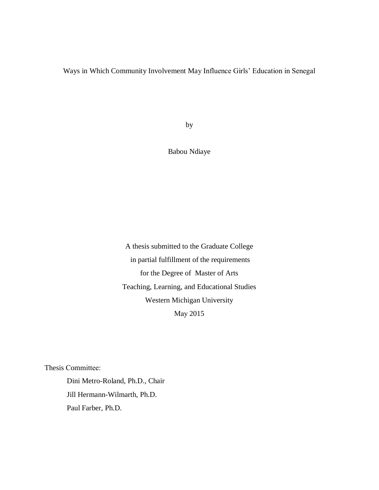## Ways in Which Community Involvement May Influence Girls' Education in Senegal

by

Babou Ndiaye

A thesis submitted to the Graduate College in partial fulfillment of the requirements for the Degree of Master of Arts Teaching, Learning, and Educational Studies Western Michigan University May 2015

Thesis Committee:

Dini Metro-Roland, Ph.D., Chair Jill Hermann-Wilmarth, Ph.D. Paul Farber, Ph.D.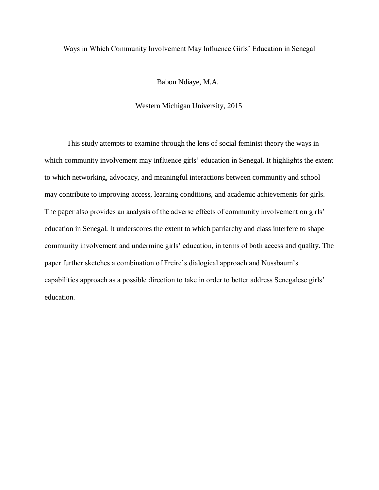### Ways in Which Community Involvement May Influence Girls' Education in Senegal

Babou Ndiaye, M.A.

#### Western Michigan University, 2015

This study attempts to examine through the lens of social feminist theory the ways in which community involvement may influence girls' education in Senegal. It highlights the extent to which networking, advocacy, and meaningful interactions between community and school may contribute to improving access, learning conditions, and academic achievements for girls. The paper also provides an analysis of the adverse effects of community involvement on girls' education in Senegal. It underscores the extent to which patriarchy and class interfere to shape community involvement and undermine girls' education, in terms of both access and quality. The paper further sketches a combination of Freire's dialogical approach and Nussbaum's capabilities approach as a possible direction to take in order to better address Senegalese girls' education.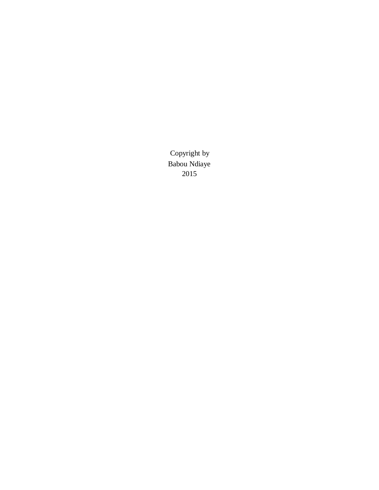Copyright by Babou Ndiaye 2015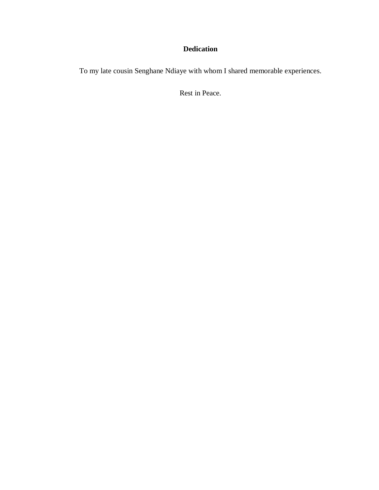## **Dedication**

To my late cousin Senghane Ndiaye with whom I shared memorable experiences.

Rest in Peace.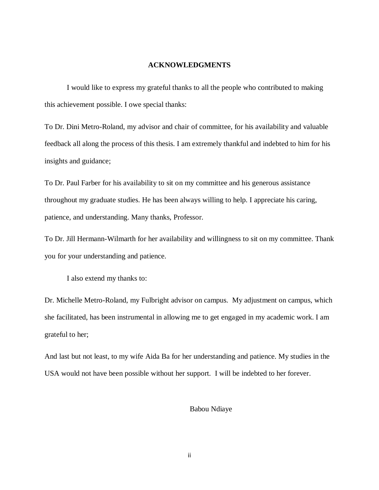#### **ACKNOWLEDGMENTS**

<span id="page-5-0"></span>I would like to express my grateful thanks to all the people who contributed to making this achievement possible. I owe special thanks:

To Dr. Dini Metro-Roland, my advisor and chair of committee, for his availability and valuable feedback all along the process of this thesis. I am extremely thankful and indebted to him for his insights and guidance;

To Dr. Paul Farber for his availability to sit on my committee and his generous assistance throughout my graduate studies. He has been always willing to help. I appreciate his caring, patience, and understanding. Many thanks, Professor.

To Dr. Jill Hermann-Wilmarth for her availability and willingness to sit on my committee. Thank you for your understanding and patience.

I also extend my thanks to:

Dr. Michelle Metro-Roland, my Fulbright advisor on campus. My adjustment on campus, which she facilitated, has been instrumental in allowing me to get engaged in my academic work. I am grateful to her;

And last but not least, to my wife Aida Ba for her understanding and patience. My studies in the USA would not have been possible without her support. I will be indebted to her forever.

#### Babou Ndiaye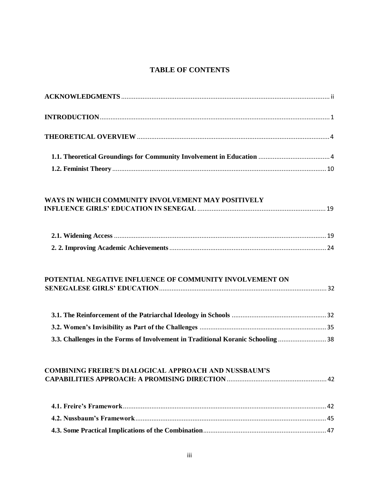# <span id="page-6-0"></span>**[TABLE OF CONTENTS](#page-5-0)**

| WAYS IN WHICH COMMUNITY INVOLVEMENT MAY POSITIVELY                              |  |
|---------------------------------------------------------------------------------|--|
|                                                                                 |  |
|                                                                                 |  |
|                                                                                 |  |
| POTENTIAL NEGATIVE INFLUENCE OF COMMUNITY INVOLVEMENT ON                        |  |
|                                                                                 |  |
|                                                                                 |  |
| 3.3. Challenges in the Forms of Involvement in Traditional Koranic Schooling 38 |  |
| <b>COMBINING FREIRE'S DIALOGICAL APPROACH AND NUSSBAUM'S</b>                    |  |
|                                                                                 |  |
|                                                                                 |  |
|                                                                                 |  |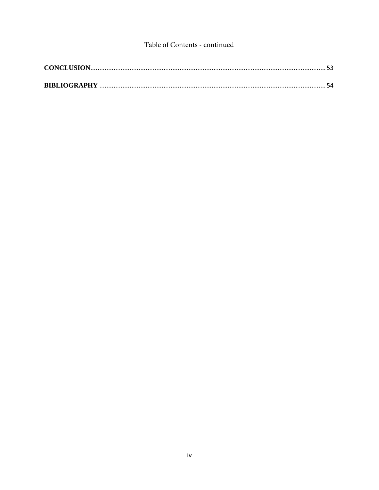## Table of Contents - continued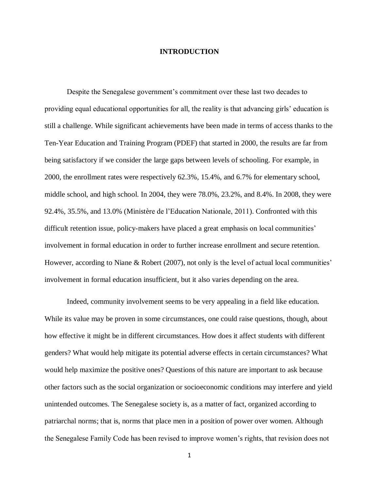#### **INTRODUCTION**

<span id="page-8-0"></span>Despite the Senegalese government's commitment over these last two decades to providing equal educational opportunities for all, the reality is that advancing girls' education is still a challenge. While significant achievements have been made in terms of access thanks to the Ten-Year Education and Training Program (PDEF) that started in 2000, the results are far from being satisfactory if we consider the large gaps between levels of schooling. For example, in 2000, the enrollment rates were respectively 62.3%, 15.4%, and 6.7% for elementary school, middle school, and high school. In 2004, they were 78.0%, 23.2%, and 8.4%. In 2008, they were 92.4%, 35.5%, and 13.0% (Ministère de l'Education Nationale, 2011). Confronted with this difficult retention issue, policy-makers have placed a great emphasis on local communities' involvement in formal education in order to further increase enrollment and secure retention. However, according to Niane & Robert (2007), not only is the level of actual local communities' involvement in formal education insufficient, but it also varies depending on the area.

Indeed, community involvement seems to be very appealing in a field like education. While its value may be proven in some circumstances, one could raise questions, though, about how effective it might be in different circumstances. How does it affect students with different genders? What would help mitigate its potential adverse effects in certain circumstances? What would help maximize the positive ones? Questions of this nature are important to ask because other factors such as the social organization or socioeconomic conditions may interfere and yield unintended outcomes. The Senegalese society is, as a matter of fact, organized according to patriarchal norms; that is, norms that place men in a position of power over women. Although the Senegalese Family Code has been revised to improve women's rights, that revision does not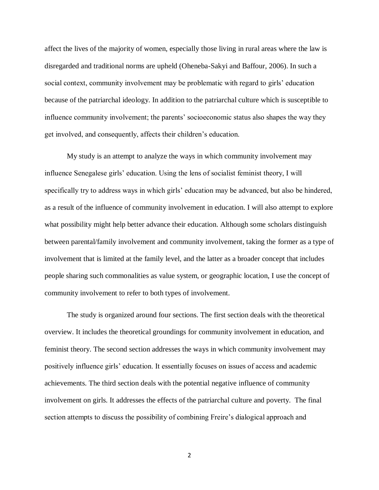affect the lives of the majority of women, especially those living in rural areas where the law is disregarded and traditional norms are upheld (Oheneba-Sakyi and Baffour, 2006). In such a social context, community involvement may be problematic with regard to girls' education because of the patriarchal ideology. In addition to the patriarchal culture which is susceptible to influence community involvement; the parents' socioeconomic status also shapes the way they get involved, and consequently, affects their children's education.

My study is an attempt to analyze the ways in which community involvement may influence Senegalese girls' education. Using the lens of socialist feminist theory, I will specifically try to address ways in which girls' education may be advanced, but also be hindered, as a result of the influence of community involvement in education. I will also attempt to explore what possibility might help better advance their education. Although some scholars distinguish between parental/family involvement and community involvement, taking the former as a type of involvement that is limited at the family level, and the latter as a broader concept that includes people sharing such commonalities as value system, or geographic location, I use the concept of community involvement to refer to both types of involvement.

The study is organized around four sections. The first section deals with the theoretical overview. It includes the theoretical groundings for community involvement in education, and feminist theory. The second section addresses the ways in which community involvement may positively influence girls' education. It essentially focuses on issues of access and academic achievements. The third section deals with the potential negative influence of community involvement on girls. It addresses the effects of the patriarchal culture and poverty. The final section attempts to discuss the possibility of combining Freire's dialogical approach and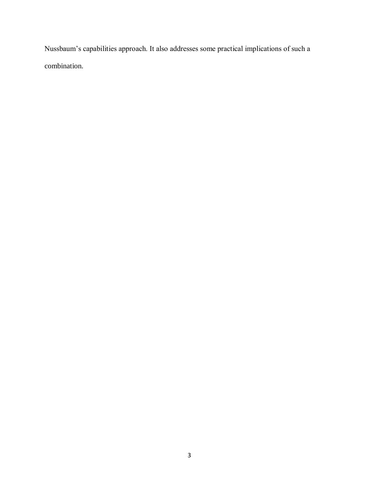Nussbaum's capabilities approach. It also addresses some practical implications of such a combination.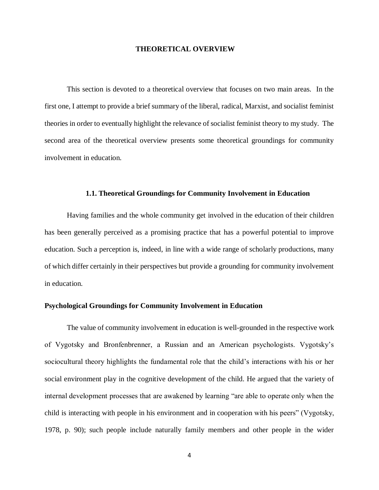#### **THEORETICAL OVERVIEW**

<span id="page-11-0"></span>This section is devoted to a theoretical overview that focuses on two main areas. In the first one, I attempt to provide a brief summary of the liberal, radical, Marxist, and socialist feminist theories in order to eventually highlight the relevance of socialist feminist theory to my study. The second area of the theoretical overview presents some theoretical groundings for community involvement in education.

#### **1.1. Theoretical Groundings for Community Involvement in Education**

<span id="page-11-1"></span>Having families and the whole community get involved in the education of their children has been generally perceived as a promising practice that has a powerful potential to improve education. Such a perception is, indeed, in line with a wide range of scholarly productions, many of which differ certainly in their perspectives but provide a grounding for community involvement in education.

#### **Psychological Groundings for Community Involvement in Education**

The value of community involvement in education is well-grounded in the respective work of Vygotsky and Bronfenbrenner, a Russian and an American psychologists. Vygotsky's sociocultural theory highlights the fundamental role that the child's interactions with his or her social environment play in the cognitive development of the child. He argued that the variety of internal development processes that are awakened by learning "are able to operate only when the child is interacting with people in his environment and in cooperation with his peers" (Vygotsky, 1978, p. 90); such people include naturally family members and other people in the wider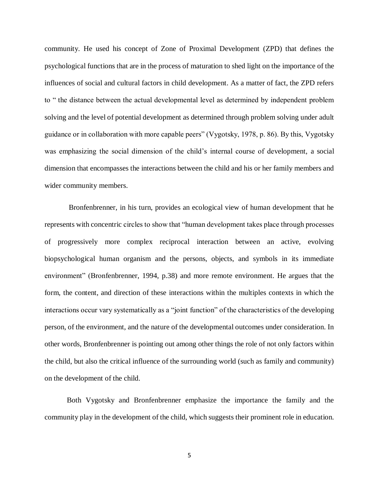community. He used his concept of Zone of Proximal Development (ZPD) that defines the psychological functions that are in the process of maturation to shed light on the importance of the influences of social and cultural factors in child development. As a matter of fact, the ZPD refers to " the distance between the actual developmental level as determined by independent problem solving and the level of potential development as determined through problem solving under adult guidance or in collaboration with more capable peers" (Vygotsky, 1978, p. 86). By this, Vygotsky was emphasizing the social dimension of the child's internal course of development, a social dimension that encompasses the interactions between the child and his or her family members and wider community members.

 Bronfenbrenner, in his turn, provides an ecological view of human development that he represents with concentric circles to show that "human development takes place through processes of progressively more complex reciprocal interaction between an active, evolving biopsychological human organism and the persons, objects, and symbols in its immediate environment" (Bronfenbrenner, 1994, p.38) and more remote environment. He argues that the form, the content, and direction of these interactions within the multiples contexts in which the interactions occur vary systematically as a "joint function" of the characteristics of the developing person, of the environment, and the nature of the developmental outcomes under consideration. In other words, Bronfenbrenner is pointing out among other things the role of not only factors within the child, but also the critical influence of the surrounding world (such as family and community) on the development of the child.

Both Vygotsky and Bronfenbrenner emphasize the importance the family and the community play in the development of the child, which suggests their prominent role in education.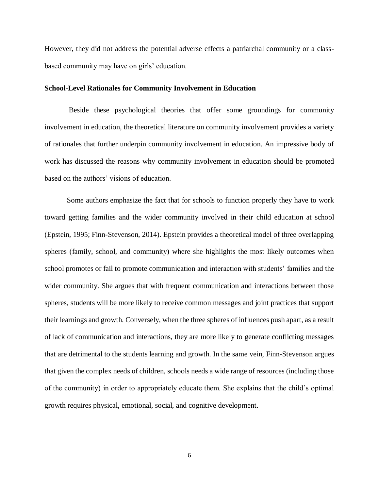However, they did not address the potential adverse effects a patriarchal community or a classbased community may have on girls' education.

#### **School-Level Rationales for Community Involvement in Education**

Beside these psychological theories that offer some groundings for community involvement in education, the theoretical literature on community involvement provides a variety of rationales that further underpin community involvement in education. An impressive body of work has discussed the reasons why community involvement in education should be promoted based on the authors' visions of education.

Some authors emphasize the fact that for schools to function properly they have to work toward getting families and the wider community involved in their child education at school (Epstein, 1995; Finn-Stevenson, 2014). Epstein provides a theoretical model of three overlapping spheres (family, school, and community) where she highlights the most likely outcomes when school promotes or fail to promote communication and interaction with students' families and the wider community. She argues that with frequent communication and interactions between those spheres, students will be more likely to receive common messages and joint practices that support their learnings and growth. Conversely, when the three spheres of influences push apart, as a result of lack of communication and interactions, they are more likely to generate conflicting messages that are detrimental to the students learning and growth. In the same vein, Finn-Stevenson argues that given the complex needs of children, schools needs a wide range of resources (including those of the community) in order to appropriately educate them. She explains that the child's optimal growth requires physical, emotional, social, and cognitive development.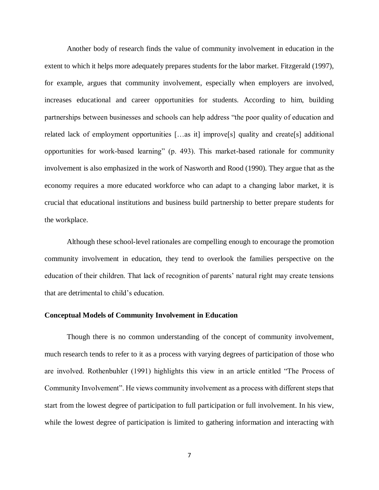Another body of research finds the value of community involvement in education in the extent to which it helps more adequately prepares students for the labor market. Fitzgerald (1997), for example, argues that community involvement, especially when employers are involved, increases educational and career opportunities for students. According to him, building partnerships between businesses and schools can help address "the poor quality of education and related lack of employment opportunities […as it] improve[s] quality and create[s] additional opportunities for work-based learning" (p. 493). This market-based rationale for community involvement is also emphasized in the work of Nasworth and Rood (1990). They argue that as the economy requires a more educated workforce who can adapt to a changing labor market, it is crucial that educational institutions and business build partnership to better prepare students for the workplace.

Although these school-level rationales are compelling enough to encourage the promotion community involvement in education, they tend to overlook the families perspective on the education of their children. That lack of recognition of parents' natural right may create tensions that are detrimental to child's education.

#### **Conceptual Models of Community Involvement in Education**

Though there is no common understanding of the concept of community involvement, much research tends to refer to it as a process with varying degrees of participation of those who are involved. Rothenbuhler (1991) highlights this view in an article entitled "The Process of Community Involvement". He views community involvement as a process with different steps that start from the lowest degree of participation to full participation or full involvement. In his view, while the lowest degree of participation is limited to gathering information and interacting with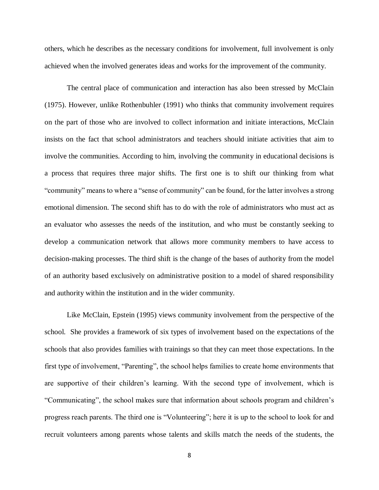others, which he describes as the necessary conditions for involvement, full involvement is only achieved when the involved generates ideas and works for the improvement of the community.

The central place of communication and interaction has also been stressed by McClain (1975). However, unlike Rothenbuhler (1991) who thinks that community involvement requires on the part of those who are involved to collect information and initiate interactions, McClain insists on the fact that school administrators and teachers should initiate activities that aim to involve the communities. According to him, involving the community in educational decisions is a process that requires three major shifts. The first one is to shift our thinking from what "community" means to where a "sense of community" can be found, for the latter involves a strong emotional dimension. The second shift has to do with the role of administrators who must act as an evaluator who assesses the needs of the institution, and who must be constantly seeking to develop a communication network that allows more community members to have access to decision-making processes. The third shift is the change of the bases of authority from the model of an authority based exclusively on administrative position to a model of shared responsibility and authority within the institution and in the wider community.

Like McClain, Epstein (1995) views community involvement from the perspective of the school. She provides a framework of six types of involvement based on the expectations of the schools that also provides families with trainings so that they can meet those expectations. In the first type of involvement, "Parenting", the school helps families to create home environments that are supportive of their children's learning. With the second type of involvement, which is "Communicating", the school makes sure that information about schools program and children's progress reach parents. The third one is "Volunteering"; here it is up to the school to look for and recruit volunteers among parents whose talents and skills match the needs of the students, the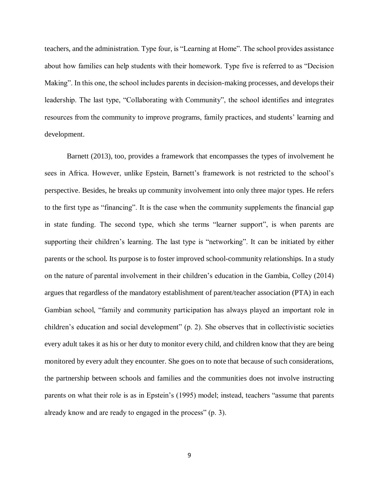teachers, and the administration. Type four, is "Learning at Home". The school provides assistance about how families can help students with their homework. Type five is referred to as "Decision Making". In this one, the school includes parents in decision-making processes, and develops their leadership. The last type, "Collaborating with Community", the school identifies and integrates resources from the community to improve programs, family practices, and students' learning and development.

Barnett (2013), too, provides a framework that encompasses the types of involvement he sees in Africa. However, unlike Epstein, Barnett's framework is not restricted to the school's perspective. Besides, he breaks up community involvement into only three major types. He refers to the first type as "financing". It is the case when the community supplements the financial gap in state funding. The second type, which she terms "learner support", is when parents are supporting their children's learning. The last type is "networking". It can be initiated by either parents or the school. Its purpose is to foster improved school-community relationships. In a study on the nature of parental involvement in their children's education in the Gambia, Colley (2014) argues that regardless of the mandatory establishment of parent/teacher association (PTA) in each Gambian school, "family and community participation has always played an important role in children's education and social development" (p. 2). She observes that in collectivistic societies every adult takes it as his or her duty to monitor every child, and children know that they are being monitored by every adult they encounter. She goes on to note that because of such considerations, the partnership between schools and families and the communities does not involve instructing parents on what their role is as in Epstein's (1995) model; instead, teachers "assume that parents already know and are ready to engaged in the process" (p. 3).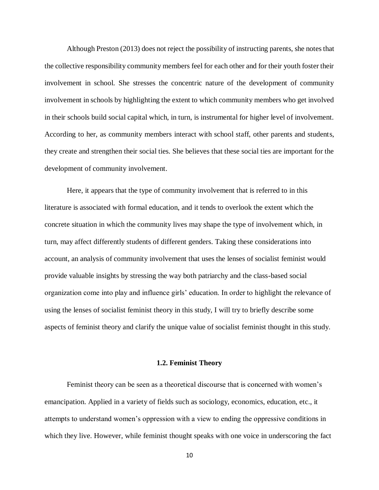Although Preston (2013) does not reject the possibility of instructing parents, she notes that the collective responsibility community members feel for each other and for their youth foster their involvement in school. She stresses the concentric nature of the development of community involvement in schools by highlighting the extent to which community members who get involved in their schools build social capital which, in turn, is instrumental for higher level of involvement. According to her, as community members interact with school staff, other parents and students, they create and strengthen their social ties. She believes that these social ties are important for the development of community involvement.

Here, it appears that the type of community involvement that is referred to in this literature is associated with formal education, and it tends to overlook the extent which the concrete situation in which the community lives may shape the type of involvement which, in turn, may affect differently students of different genders. Taking these considerations into account, an analysis of community involvement that uses the lenses of socialist feminist would provide valuable insights by stressing the way both patriarchy and the class-based social organization come into play and influence girls' education. In order to highlight the relevance of using the lenses of socialist feminist theory in this study, I will try to briefly describe some aspects of feminist theory and clarify the unique value of socialist feminist thought in this study.

#### **1.2. Feminist Theory**

<span id="page-17-0"></span>Feminist theory can be seen as a theoretical discourse that is concerned with women's emancipation. Applied in a variety of fields such as sociology, economics, education, etc., it attempts to understand women's oppression with a view to ending the oppressive conditions in which they live. However, while feminist thought speaks with one voice in underscoring the fact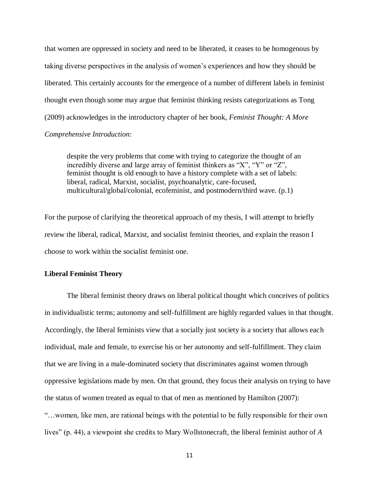that women are oppressed in society and need to be liberated, it ceases to be homogenous by taking diverse perspectives in the analysis of women's experiences and how they should be liberated. This certainly accounts for the emergence of a number of different labels in feminist thought even though some may argue that feminist thinking resists categorizations as Tong (2009) acknowledges in the introductory chapter of her book, *Feminist Thought: A More Comprehensive Introduction*:

despite the very problems that come with trying to categorize the thought of an incredibly diverse and large array of feminist thinkers as "X", "Y" or "Z", feminist thought is old enough to have a history complete with a set of labels: liberal, radical, Marxist, socialist, psychoanalytic, care-focused, multicultural/global/colonial, ecofeminist, and postmodern/third wave. (p.1)

For the purpose of clarifying the theoretical approach of my thesis, I will attempt to briefly review the liberal, radical, Marxist, and socialist feminist theories, and explain the reason I choose to work within the socialist feminist one.

#### **Liberal Feminist Theory**

The liberal feminist theory draws on liberal political thought which conceives of politics in individualistic terms; autonomy and self-fulfillment are highly regarded values in that thought. Accordingly, the liberal feminists view that a socially just society is a society that allows each individual, male and female, to exercise his or her autonomy and self-fulfillment. They claim that we are living in a male-dominated society that discriminates against women through oppressive legislations made by men. On that ground, they focus their analysis on trying to have the status of women treated as equal to that of men as mentioned by Hamilton (2007): "…women, like men, are rational beings with the potential to be fully responsible for their own lives" (p. 44), a viewpoint she credits to Mary Wollstonecraft, the liberal feminist author of *A*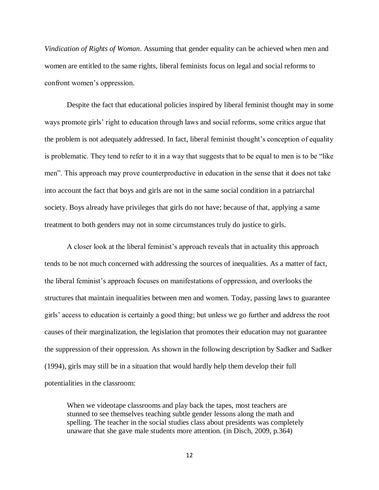*Vindication of Rights of Woman*. Assuming that gender equality can be achieved when men and women are entitled to the same rights, liberal feminists focus on legal and social reforms to confront women's oppression.

Despite the fact that educational policies inspired by liberal feminist thought may in some ways promote girls' right to education through laws and social reforms, some critics argue that the problem is not adequately addressed. In fact, liberal feminist thought's conception of equality is problematic. They tend to refer to it in a way that suggests that to be equal to men is to be "like men". This approach may prove counterproductive in education in the sense that it does not take into account the fact that boys and girls are not in the same social condition in a patriarchal society. Boys already have privileges that girls do not have; because of that, applying a same treatment to both genders may not in some circumstances truly do justice to girls.

A closer look at the liberal feminist's approach reveals that in actuality this approach tends to be not much concerned with addressing the sources of inequalities. As a matter of fact, the liberal feminist's approach focuses on manifestations of oppression, and overlooks the structures that maintain inequalities between men and women. Today, passing laws to guarantee girls' access to education is certainly a good thing; but unless we go further and address the root causes of their marginalization, the legislation that promotes their education may not guarantee the suppression of their oppression. As shown in the following description by Sadker and Sadker (1994), girls may still be in a situation that would hardly help them develop their full potentialities in the classroom:

When we videotape classrooms and play back the tapes, most teachers are stunned to see themselves teaching subtle gender lessons along the math and spelling. The teacher in the social studies class about presidents was completely unaware that she gave male students more attention. (in Disch, 2009, p.364)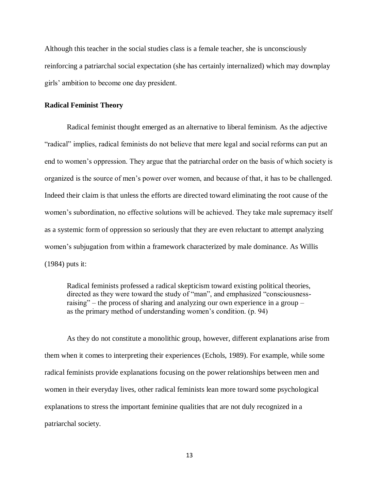Although this teacher in the social studies class is a female teacher, she is unconsciously reinforcing a patriarchal social expectation (she has certainly internalized) which may downplay girls' ambition to become one day president.

#### **Radical Feminist Theory**

Radical feminist thought emerged as an alternative to liberal feminism. As the adjective "radical" implies, radical feminists do not believe that mere legal and social reforms can put an end to women's oppression. They argue that the patriarchal order on the basis of which society is organized is the source of men's power over women, and because of that, it has to be challenged. Indeed their claim is that unless the efforts are directed toward eliminating the root cause of the women's subordination, no effective solutions will be achieved. They take male supremacy itself as a systemic form of oppression so seriously that they are even reluctant to attempt analyzing women's subjugation from within a framework characterized by male dominance. As Willis (1984) puts it:

Radical feminists professed a radical skepticism toward existing political theories, directed as they were toward the study of "man", and emphasized "consciousnessraising" – the process of sharing and analyzing our own experience in a group – as the primary method of understanding women's condition. (p. 94)

As they do not constitute a monolithic group, however, different explanations arise from them when it comes to interpreting their experiences (Echols, 1989). For example, while some radical feminists provide explanations focusing on the power relationships between men and women in their everyday lives, other radical feminists lean more toward some psychological explanations to stress the important feminine qualities that are not duly recognized in a patriarchal society.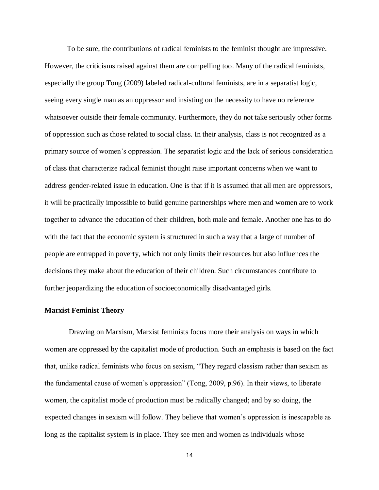To be sure, the contributions of radical feminists to the feminist thought are impressive. However, the criticisms raised against them are compelling too. Many of the radical feminists, especially the group Tong (2009) labeled radical-cultural feminists, are in a separatist logic, seeing every single man as an oppressor and insisting on the necessity to have no reference whatsoever outside their female community. Furthermore, they do not take seriously other forms of oppression such as those related to social class. In their analysis, class is not recognized as a primary source of women's oppression. The separatist logic and the lack of serious consideration of class that characterize radical feminist thought raise important concerns when we want to address gender-related issue in education. One is that if it is assumed that all men are oppressors, it will be practically impossible to build genuine partnerships where men and women are to work together to advance the education of their children, both male and female. Another one has to do with the fact that the economic system is structured in such a way that a large of number of people are entrapped in poverty, which not only limits their resources but also influences the decisions they make about the education of their children. Such circumstances contribute to further jeopardizing the education of socioeconomically disadvantaged girls.

#### **Marxist Feminist Theory**

Drawing on Marxism, Marxist feminists focus more their analysis on ways in which women are oppressed by the capitalist mode of production. Such an emphasis is based on the fact that, unlike radical feminists who focus on sexism, "They regard classism rather than sexism as the fundamental cause of women's oppression" (Tong, 2009, p.96). In their views, to liberate women, the capitalist mode of production must be radically changed; and by so doing, the expected changes in sexism will follow. They believe that women's oppression is inescapable as long as the capitalist system is in place. They see men and women as individuals whose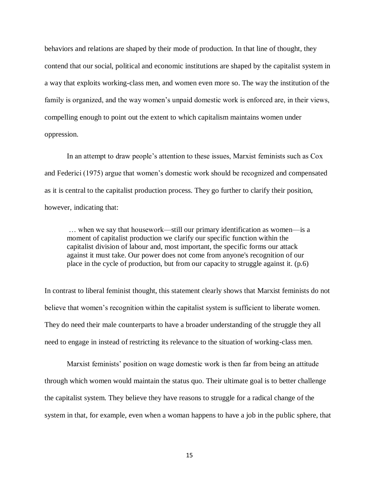behaviors and relations are shaped by their mode of production. In that line of thought, they contend that our social, political and economic institutions are shaped by the capitalist system in a way that exploits working-class men, and women even more so. The way the institution of the family is organized, and the way women's unpaid domestic work is enforced are, in their views, compelling enough to point out the extent to which capitalism maintains women under oppression.

In an attempt to draw people's attention to these issues, Marxist feminists such as Cox and Federici (1975) argue that women's domestic work should be recognized and compensated as it is central to the capitalist production process. They go further to clarify their position, however, indicating that:

… when we say that housework—still our primary identification as women—is a moment of capitalist production we clarify our specific function within the capitalist division of labour and, most important, the specific forms our attack against it must take. Our power does not come from anyone's recognition of our place in the cycle of production, but from our capacity to struggle against it. (p.6)

In contrast to liberal feminist thought, this statement clearly shows that Marxist feminists do not believe that women's recognition within the capitalist system is sufficient to liberate women. They do need their male counterparts to have a broader understanding of the struggle they all need to engage in instead of restricting its relevance to the situation of working-class men.

Marxist feminists' position on wage domestic work is then far from being an attitude through which women would maintain the status quo. Their ultimate goal is to better challenge the capitalist system. They believe they have reasons to struggle for a radical change of the system in that, for example, even when a woman happens to have a job in the public sphere, that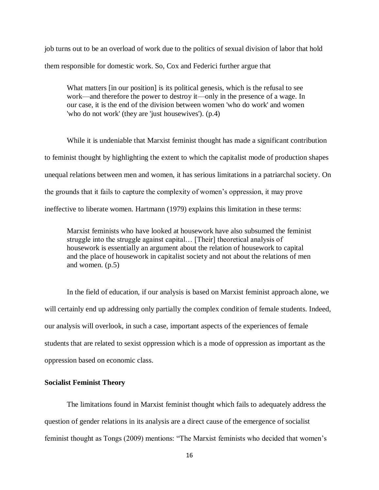job turns out to be an overload of work due to the politics of sexual division of labor that hold them responsible for domestic work. So, Cox and Federici further argue that

What matters [in our position] is its political genesis, which is the refusal to see work—and therefore the power to destroy it—only in the presence of a wage. In our case, it is the end of the division between women 'who do work' and women 'who do not work' (they are 'just housewives'). (p.4)

While it is undeniable that Marxist feminist thought has made a significant contribution to feminist thought by highlighting the extent to which the capitalist mode of production shapes unequal relations between men and women, it has serious limitations in a patriarchal society. On the grounds that it fails to capture the complexity of women's oppression, it may prove ineffective to liberate women. Hartmann (1979) explains this limitation in these terms:

Marxist feminists who have looked at housework have also subsumed the feminist struggle into the struggle against capital… [Their] theoretical analysis of housework is essentially an argument about the relation of housework to capital and the place of housework in capitalist society and not about the relations of men and women. (p.5)

In the field of education, if our analysis is based on Marxist feminist approach alone, we will certainly end up addressing only partially the complex condition of female students. Indeed, our analysis will overlook, in such a case, important aspects of the experiences of female students that are related to sexist oppression which is a mode of oppression as important as the oppression based on economic class.

#### **Socialist Feminist Theory**

The limitations found in Marxist feminist thought which fails to adequately address the question of gender relations in its analysis are a direct cause of the emergence of socialist feminist thought as Tongs (2009) mentions: "The Marxist feminists who decided that women's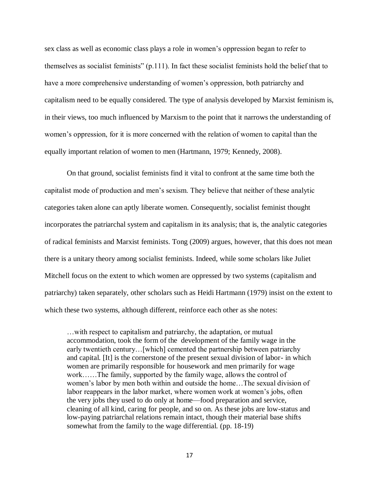sex class as well as economic class plays a role in women's oppression began to refer to themselves as socialist feminists" (p.111). In fact these socialist feminists hold the belief that to have a more comprehensive understanding of women's oppression, both patriarchy and capitalism need to be equally considered. The type of analysis developed by Marxist feminism is, in their views, too much influenced by Marxism to the point that it narrows the understanding of women's oppression, for it is more concerned with the relation of women to capital than the equally important relation of women to men (Hartmann, 1979; Kennedy, 2008).

On that ground, socialist feminists find it vital to confront at the same time both the capitalist mode of production and men's sexism. They believe that neither of these analytic categories taken alone can aptly liberate women. Consequently, socialist feminist thought incorporates the patriarchal system and capitalism in its analysis; that is, the analytic categories of radical feminists and Marxist feminists. Tong (2009) argues, however, that this does not mean there is a unitary theory among socialist feminists. Indeed, while some scholars like Juliet Mitchell focus on the extent to which women are oppressed by two systems (capitalism and patriarchy) taken separately, other scholars such as Heidi Hartmann (1979) insist on the extent to which these two systems, although different, reinforce each other as she notes:

…with respect to capitalism and patriarchy, the adaptation, or mutual accommodation, took the form of the development of the family wage in the early twentieth century…[which] cemented the partnership between patriarchy and capital. [It] is the cornerstone of the present sexual division of labor- in which women are primarily responsible for housework and men primarily for wage work……The family, supported by the family wage, allows the control of women's labor by men both within and outside the home…The sexual division of labor reappears in the labor market, where women work at women's jobs, often the very jobs they used to do only at home—food preparation and service, cleaning of all kind, caring for people, and so on. As these jobs are low-status and low-paying patriarchal relations remain intact, though their material base shifts somewhat from the family to the wage differential. (pp. 18-19)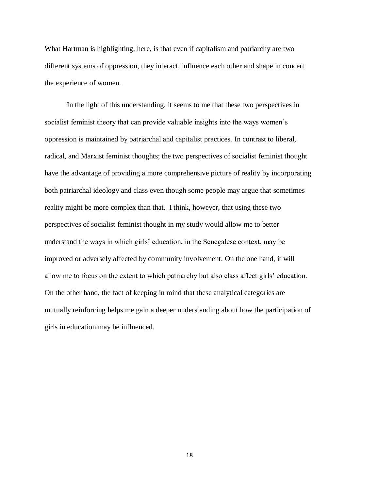What Hartman is highlighting, here, is that even if capitalism and patriarchy are two different systems of oppression, they interact, influence each other and shape in concert the experience of women.

In the light of this understanding, it seems to me that these two perspectives in socialist feminist theory that can provide valuable insights into the ways women's oppression is maintained by patriarchal and capitalist practices. In contrast to liberal, radical, and Marxist feminist thoughts; the two perspectives of socialist feminist thought have the advantage of providing a more comprehensive picture of reality by incorporating both patriarchal ideology and class even though some people may argue that sometimes reality might be more complex than that. I think, however, that using these two perspectives of socialist feminist thought in my study would allow me to better understand the ways in which girls' education, in the Senegalese context, may be improved or adversely affected by community involvement. On the one hand, it will allow me to focus on the extent to which patriarchy but also class affect girls' education. On the other hand, the fact of keeping in mind that these analytical categories are mutually reinforcing helps me gain a deeper understanding about how the participation of girls in education may be influenced.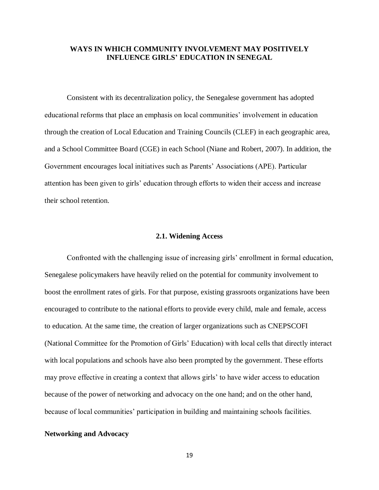#### <span id="page-26-0"></span>**WAYS IN WHICH COMMUNITY INVOLVEMENT MAY POSITIVELY INFLUENCE GIRLS' EDUCATION IN SENEGAL**

Consistent with its decentralization policy, the Senegalese government has adopted educational reforms that place an emphasis on local communities' involvement in education through the creation of Local Education and Training Councils (CLEF) in each geographic area, and a School Committee Board (CGE) in each School (Niane and Robert, 2007). In addition, the Government encourages local initiatives such as Parents' Associations (APE). Particular attention has been given to girls' education through efforts to widen their access and increase their school retention.

#### **2.1. Widening Access**

<span id="page-26-1"></span>Confronted with the challenging issue of increasing girls' enrollment in formal education, Senegalese policymakers have heavily relied on the potential for community involvement to boost the enrollment rates of girls. For that purpose, existing grassroots organizations have been encouraged to contribute to the national efforts to provide every child, male and female, access to education. At the same time, the creation of larger organizations such as CNEPSCOFI (National Committee for the Promotion of Girls' Education) with local cells that directly interact with local populations and schools have also been prompted by the government. These efforts may prove effective in creating a context that allows girls' to have wider access to education because of the power of networking and advocacy on the one hand; and on the other hand, because of local communities' participation in building and maintaining schools facilities.

#### **Networking and Advocacy**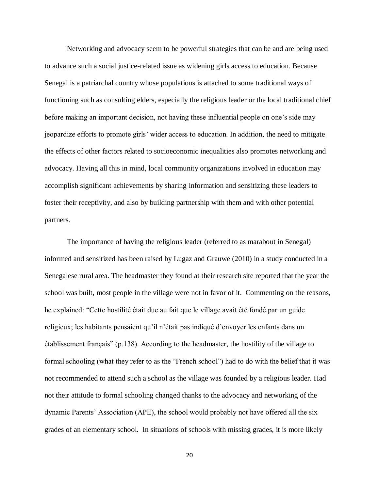Networking and advocacy seem to be powerful strategies that can be and are being used to advance such a social justice-related issue as widening girls access to education. Because Senegal is a patriarchal country whose populations is attached to some traditional ways of functioning such as consulting elders, especially the religious leader or the local traditional chief before making an important decision, not having these influential people on one's side may jeopardize efforts to promote girls' wider access to education. In addition, the need to mitigate the effects of other factors related to socioeconomic inequalities also promotes networking and advocacy. Having all this in mind, local community organizations involved in education may accomplish significant achievements by sharing information and sensitizing these leaders to foster their receptivity, and also by building partnership with them and with other potential partners.

The importance of having the religious leader (referred to as marabout in Senegal) informed and sensitized has been raised by Lugaz and Grauwe (2010) in a study conducted in a Senegalese rural area. The headmaster they found at their research site reported that the year the school was built, most people in the village were not in favor of it. Commenting on the reasons, he explained: "Cette hostilité était due au fait que le village avait été fondé par un guide religieux; les habitants pensaient qu'il n'était pas indiqué d'envoyer les enfants dans un établissement français" (p.138). According to the headmaster, the hostility of the village to formal schooling (what they refer to as the "French school") had to do with the belief that it was not recommended to attend such a school as the village was founded by a religious leader. Had not their attitude to formal schooling changed thanks to the advocacy and networking of the dynamic Parents' Association (APE), the school would probably not have offered all the six grades of an elementary school. In situations of schools with missing grades, it is more likely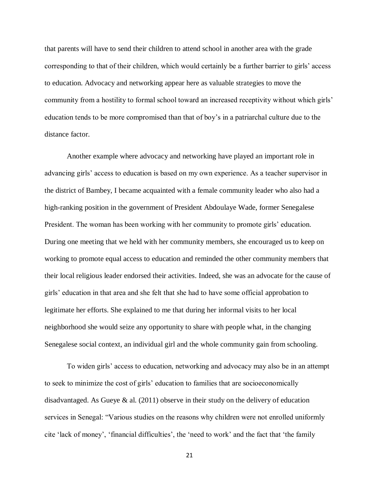that parents will have to send their children to attend school in another area with the grade corresponding to that of their children, which would certainly be a further barrier to girls' access to education. Advocacy and networking appear here as valuable strategies to move the community from a hostility to formal school toward an increased receptivity without which girls' education tends to be more compromised than that of boy's in a patriarchal culture due to the distance factor.

Another example where advocacy and networking have played an important role in advancing girls' access to education is based on my own experience. As a teacher supervisor in the district of Bambey, I became acquainted with a female community leader who also had a high-ranking position in the government of President Abdoulaye Wade, former Senegalese President. The woman has been working with her community to promote girls' education. During one meeting that we held with her community members, she encouraged us to keep on working to promote equal access to education and reminded the other community members that their local religious leader endorsed their activities. Indeed, she was an advocate for the cause of girls' education in that area and she felt that she had to have some official approbation to legitimate her efforts. She explained to me that during her informal visits to her local neighborhood she would seize any opportunity to share with people what, in the changing Senegalese social context, an individual girl and the whole community gain from schooling.

To widen girls' access to education, networking and advocacy may also be in an attempt to seek to minimize the cost of girls' education to families that are socioeconomically disadvantaged. As Gueye  $\&$  al. (2011) observe in their study on the delivery of education services in Senegal: "Various studies on the reasons why children were not enrolled uniformly cite 'lack of money', 'financial difficulties', the 'need to work' and the fact that 'the family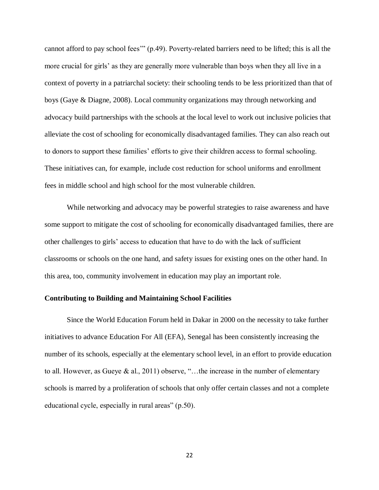cannot afford to pay school fees'" (p.49). Poverty-related barriers need to be lifted; this is all the more crucial for girls' as they are generally more vulnerable than boys when they all live in a context of poverty in a patriarchal society: their schooling tends to be less prioritized than that of boys (Gaye & Diagne, 2008). Local community organizations may through networking and advocacy build partnerships with the schools at the local level to work out inclusive policies that alleviate the cost of schooling for economically disadvantaged families. They can also reach out to donors to support these families' efforts to give their children access to formal schooling. These initiatives can, for example, include cost reduction for school uniforms and enrollment fees in middle school and high school for the most vulnerable children.

While networking and advocacy may be powerful strategies to raise awareness and have some support to mitigate the cost of schooling for economically disadvantaged families, there are other challenges to girls' access to education that have to do with the lack of sufficient classrooms or schools on the one hand, and safety issues for existing ones on the other hand. In this area, too, community involvement in education may play an important role.

#### **Contributing to Building and Maintaining School Facilities**

Since the World Education Forum held in Dakar in 2000 on the necessity to take further initiatives to advance Education For All (EFA), Senegal has been consistently increasing the number of its schools, especially at the elementary school level, in an effort to provide education to all. However, as Gueye & al., 2011) observe, "…the increase in the number of elementary schools is marred by a proliferation of schools that only offer certain classes and not a complete educational cycle, especially in rural areas" (p.50).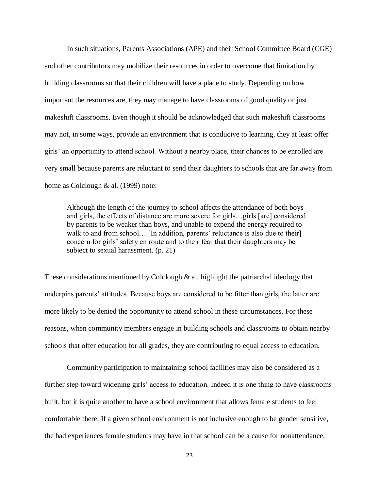In such situations, Parents Associations (APE) and their School Committee Board (CGE) and other contributors may mobilize their resources in order to overcome that limitation by building classrooms so that their children will have a place to study. Depending on how important the resources are, they may manage to have classrooms of good quality or just makeshift classrooms. Even though it should be acknowledged that such makeshift classrooms may not, in some ways, provide an environment that is conducive to learning, they at least offer girls' an opportunity to attend school. Without a nearby place, their chances to be enrolled are very small because parents are reluctant to send their daughters to schools that are far away from home as Colclough & al. (1999) note:

Although the length of the journey to school affects the attendance of both boys and girls, the effects of distance are more severe for girls…girls [are] considered by parents to be weaker than boys, and unable to expend the energy required to walk to and from school... [In addition, parents' reluctance is also due to their] concern for girls' safety en route and to their fear that their daughters may be subject to sexual harassment. (p. 21)

These considerations mentioned by Colclough & al. highlight the patriarchal ideology that underpins parents' attitudes. Because boys are considered to be fitter than girls, the latter are more likely to be denied the opportunity to attend school in these circumstances. For these reasons, when community members engage in building schools and classrooms to obtain nearby schools that offer education for all grades, they are contributing to equal access to education.

Community participation to maintaining school facilities may also be considered as a further step toward widening girls' access to education. Indeed it is one thing to have classrooms built, but it is quite another to have a school environment that allows female students to feel comfortable there. If a given school environment is not inclusive enough to be gender sensitive, the bad experiences female students may have in that school can be a cause for nonattendance.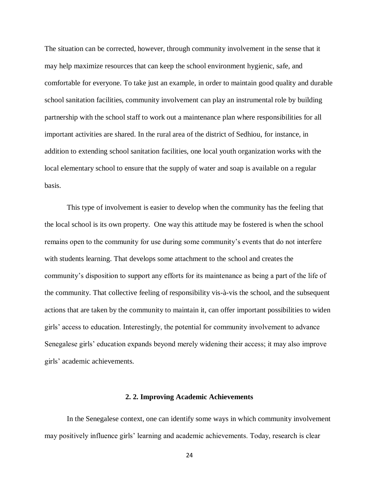The situation can be corrected, however, through community involvement in the sense that it may help maximize resources that can keep the school environment hygienic, safe, and comfortable for everyone. To take just an example, in order to maintain good quality and durable school sanitation facilities, community involvement can play an instrumental role by building partnership with the school staff to work out a maintenance plan where responsibilities for all important activities are shared. In the rural area of the district of Sedhiou, for instance, in addition to extending school sanitation facilities, one local youth organization works with the local elementary school to ensure that the supply of water and soap is available on a regular basis.

This type of involvement is easier to develop when the community has the feeling that the local school is its own property. One way this attitude may be fostered is when the school remains open to the community for use during some community's events that do not interfere with students learning. That develops some attachment to the school and creates the community's disposition to support any efforts for its maintenance as being a part of the life of the community. That collective feeling of responsibility vis-à-vis the school, and the subsequent actions that are taken by the community to maintain it, can offer important possibilities to widen girls' access to education. Interestingly, the potential for community involvement to advance Senegalese girls' education expands beyond merely widening their access; it may also improve girls' academic achievements.

#### **2. 2. Improving Academic Achievements**

<span id="page-31-0"></span>In the Senegalese context, one can identify some ways in which community involvement may positively influence girls' learning and academic achievements. Today, research is clear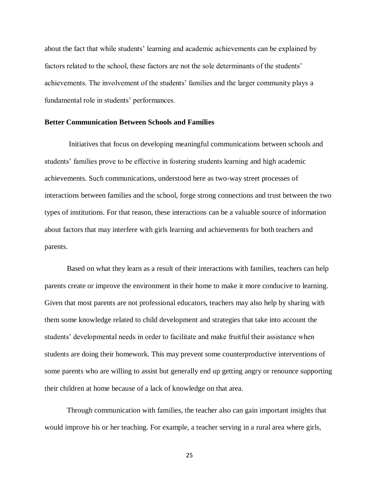about the fact that while students' learning and academic achievements can be explained by factors related to the school, these factors are not the sole determinants of the students' achievements. The involvement of the students' families and the larger community plays a fundamental role in students' performances.

#### **Better Communication Between Schools and Families**

Initiatives that focus on developing meaningful communications between schools and students' families prove to be effective in fostering students learning and high academic achievements. Such communications, understood here as two-way street processes of interactions between families and the school, forge strong connections and trust between the two types of institutions. For that reason, these interactions can be a valuable source of information about factors that may interfere with girls learning and achievements for both teachers and parents.

Based on what they learn as a result of their interactions with families, teachers can help parents create or improve the environment in their home to make it more conducive to learning. Given that most parents are not professional educators, teachers may also help by sharing with them some knowledge related to child development and strategies that take into account the students' developmental needs in order to facilitate and make fruitful their assistance when students are doing their homework. This may prevent some counterproductive interventions of some parents who are willing to assist but generally end up getting angry or renounce supporting their children at home because of a lack of knowledge on that area.

Through communication with families, the teacher also can gain important insights that would improve his or her teaching. For example, a teacher serving in a rural area where girls,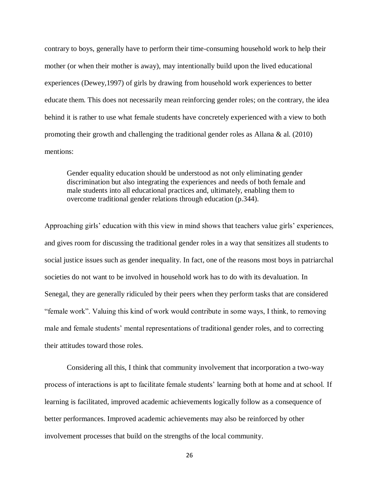contrary to boys, generally have to perform their time-consuming household work to help their mother (or when their mother is away), may intentionally build upon the lived educational experiences (Dewey,1997) of girls by drawing from household work experiences to better educate them. This does not necessarily mean reinforcing gender roles; on the contrary, the idea behind it is rather to use what female students have concretely experienced with a view to both promoting their growth and challenging the traditional gender roles as Allana & al. (2010) mentions:

Gender equality education should be understood as not only eliminating gender discrimination but also integrating the experiences and needs of both female and male students into all educational practices and, ultimately, enabling them to overcome traditional gender relations through education (p.344).

Approaching girls' education with this view in mind shows that teachers value girls' experiences, and gives room for discussing the traditional gender roles in a way that sensitizes all students to social justice issues such as gender inequality. In fact, one of the reasons most boys in patriarchal societies do not want to be involved in household work has to do with its devaluation. In Senegal, they are generally ridiculed by their peers when they perform tasks that are considered "female work". Valuing this kind of work would contribute in some ways, I think, to removing male and female students' mental representations of traditional gender roles, and to correcting their attitudes toward those roles.

Considering all this, I think that community involvement that incorporation a two-way process of interactions is apt to facilitate female students' learning both at home and at school. If learning is facilitated, improved academic achievements logically follow as a consequence of better performances. Improved academic achievements may also be reinforced by other involvement processes that build on the strengths of the local community.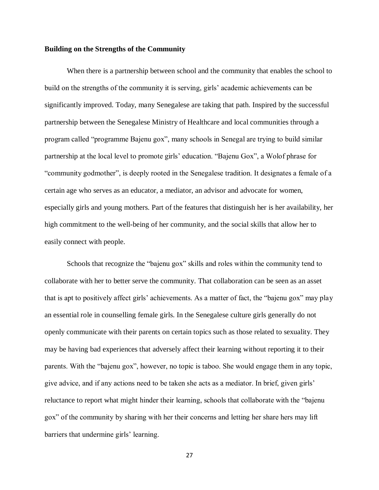#### **Building on the Strengths of the Community**

When there is a partnership between school and the community that enables the school to build on the strengths of the community it is serving, girls' academic achievements can be significantly improved. Today, many Senegalese are taking that path. Inspired by the successful partnership between the Senegalese Ministry of Healthcare and local communities through a program called "programme Bajenu gox", many schools in Senegal are trying to build similar partnership at the local level to promote girls' education. "Bajenu Gox", a Wolof phrase for "community godmother", is deeply rooted in the Senegalese tradition. It designates a female of a certain age who serves as an educator, a mediator, an advisor and advocate for women, especially girls and young mothers. Part of the features that distinguish her is her availability, her high commitment to the well-being of her community, and the social skills that allow her to easily connect with people.

Schools that recognize the "bajenu gox" skills and roles within the community tend to collaborate with her to better serve the community. That collaboration can be seen as an asset that is apt to positively affect girls' achievements. As a matter of fact, the "bajenu gox" may play an essential role in counselling female girls. In the Senegalese culture girls generally do not openly communicate with their parents on certain topics such as those related to sexuality. They may be having bad experiences that adversely affect their learning without reporting it to their parents. With the "bajenu gox", however, no topic is taboo. She would engage them in any topic, give advice, and if any actions need to be taken she acts as a mediator. In brief, given girls' reluctance to report what might hinder their learning, schools that collaborate with the "bajenu gox" of the community by sharing with her their concerns and letting her share hers may lift barriers that undermine girls' learning.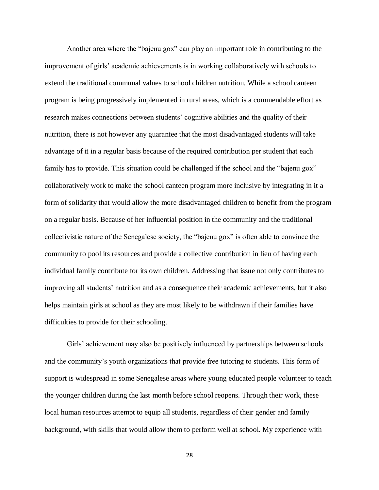Another area where the "bajenu gox" can play an important role in contributing to the improvement of girls' academic achievements is in working collaboratively with schools to extend the traditional communal values to school children nutrition. While a school canteen program is being progressively implemented in rural areas, which is a commendable effort as research makes connections between students' cognitive abilities and the quality of their nutrition, there is not however any guarantee that the most disadvantaged students will take advantage of it in a regular basis because of the required contribution per student that each family has to provide. This situation could be challenged if the school and the "bajenu gox" collaboratively work to make the school canteen program more inclusive by integrating in it a form of solidarity that would allow the more disadvantaged children to benefit from the program on a regular basis. Because of her influential position in the community and the traditional collectivistic nature of the Senegalese society, the "bajenu gox" is often able to convince the community to pool its resources and provide a collective contribution in lieu of having each individual family contribute for its own children. Addressing that issue not only contributes to improving all students' nutrition and as a consequence their academic achievements, but it also helps maintain girls at school as they are most likely to be withdrawn if their families have difficulties to provide for their schooling.

Girls' achievement may also be positively influenced by partnerships between schools and the community's youth organizations that provide free tutoring to students. This form of support is widespread in some Senegalese areas where young educated people volunteer to teach the younger children during the last month before school reopens. Through their work, these local human resources attempt to equip all students, regardless of their gender and family background, with skills that would allow them to perform well at school. My experience with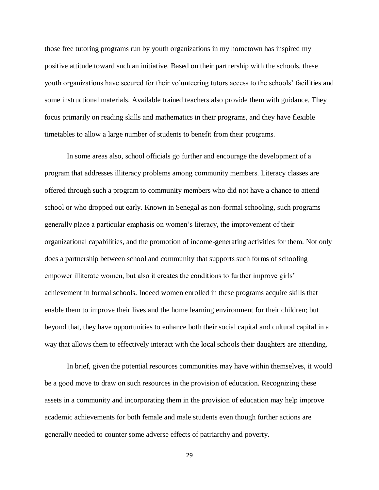those free tutoring programs run by youth organizations in my hometown has inspired my positive attitude toward such an initiative. Based on their partnership with the schools, these youth organizations have secured for their volunteering tutors access to the schools' facilities and some instructional materials. Available trained teachers also provide them with guidance. They focus primarily on reading skills and mathematics in their programs, and they have flexible timetables to allow a large number of students to benefit from their programs.

In some areas also, school officials go further and encourage the development of a program that addresses illiteracy problems among community members. Literacy classes are offered through such a program to community members who did not have a chance to attend school or who dropped out early. Known in Senegal as non-formal schooling, such programs generally place a particular emphasis on women's literacy, the improvement of their organizational capabilities, and the promotion of income-generating activities for them. Not only does a partnership between school and community that supports such forms of schooling empower illiterate women, but also it creates the conditions to further improve girls' achievement in formal schools. Indeed women enrolled in these programs acquire skills that enable them to improve their lives and the home learning environment for their children; but beyond that, they have opportunities to enhance both their social capital and cultural capital in a way that allows them to effectively interact with the local schools their daughters are attending.

In brief, given the potential resources communities may have within themselves, it would be a good move to draw on such resources in the provision of education. Recognizing these assets in a community and incorporating them in the provision of education may help improve academic achievements for both female and male students even though further actions are generally needed to counter some adverse effects of patriarchy and poverty.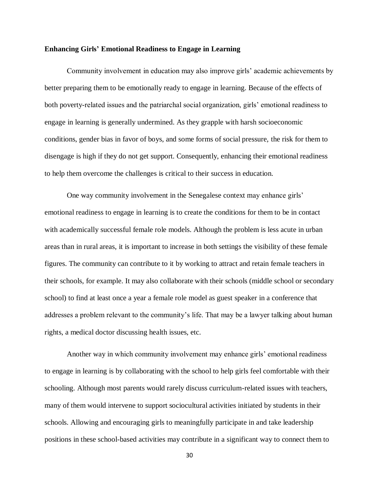#### **Enhancing Girls' Emotional Readiness to Engage in Learning**

Community involvement in education may also improve girls' academic achievements by better preparing them to be emotionally ready to engage in learning. Because of the effects of both poverty-related issues and the patriarchal social organization, girls' emotional readiness to engage in learning is generally undermined. As they grapple with harsh socioeconomic conditions, gender bias in favor of boys, and some forms of social pressure, the risk for them to disengage is high if they do not get support. Consequently, enhancing their emotional readiness to help them overcome the challenges is critical to their success in education.

One way community involvement in the Senegalese context may enhance girls' emotional readiness to engage in learning is to create the conditions for them to be in contact with academically successful female role models. Although the problem is less acute in urban areas than in rural areas, it is important to increase in both settings the visibility of these female figures. The community can contribute to it by working to attract and retain female teachers in their schools, for example. It may also collaborate with their schools (middle school or secondary school) to find at least once a year a female role model as guest speaker in a conference that addresses a problem relevant to the community's life. That may be a lawyer talking about human rights, a medical doctor discussing health issues, etc.

Another way in which community involvement may enhance girls' emotional readiness to engage in learning is by collaborating with the school to help girls feel comfortable with their schooling. Although most parents would rarely discuss curriculum-related issues with teachers, many of them would intervene to support sociocultural activities initiated by students in their schools. Allowing and encouraging girls to meaningfully participate in and take leadership positions in these school-based activities may contribute in a significant way to connect them to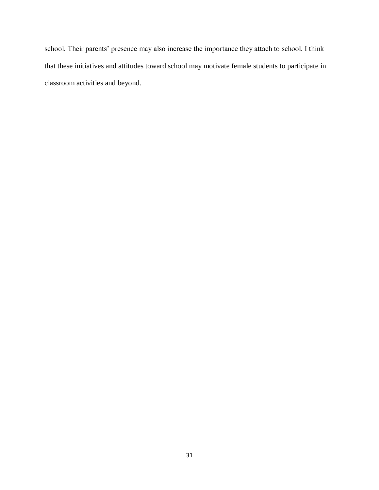school. Their parents' presence may also increase the importance they attach to school. I think that these initiatives and attitudes toward school may motivate female students to participate in classroom activities and beyond.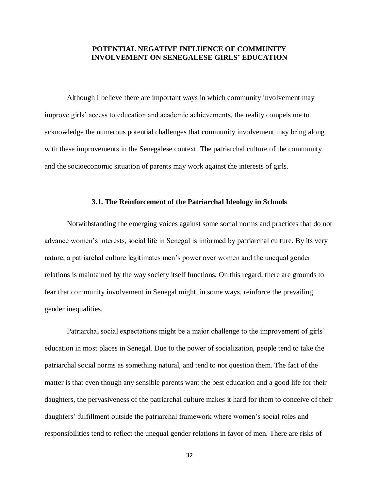#### <span id="page-39-0"></span>**POTENTIAL NEGATIVE INFLUENCE OF COMMUNITY INVOLVEMENT ON SENEGALESE GIRLS' EDUCATION**

Although I believe there are important ways in which community involvement may improve girls' access to education and academic achievements, the reality compels me to acknowledge the numerous potential challenges that community involvement may bring along with these improvements in the Senegalese context. The patriarchal culture of the community and the socioeconomic situation of parents may work against the interests of girls.

#### **3.1. The Reinforcement of the Patriarchal Ideology in Schools**

<span id="page-39-1"></span>Notwithstanding the emerging voices against some social norms and practices that do not advance women's interests, social life in Senegal is informed by patriarchal culture. By its very nature, a patriarchal culture legitimates men's power over women and the unequal gender relations is maintained by the way society itself functions. On this regard, there are grounds to fear that community involvement in Senegal might, in some ways, reinforce the prevailing gender inequalities.

Patriarchal social expectations might be a major challenge to the improvement of girls' education in most places in Senegal. Due to the power of socialization, people tend to take the patriarchal social norms as something natural, and tend to not question them. The fact of the matter is that even though any sensible parents want the best education and a good life for their daughters, the pervasiveness of the patriarchal culture makes it hard for them to conceive of their daughters' fulfillment outside the patriarchal framework where women's social roles and responsibilities tend to reflect the unequal gender relations in favor of men. There are risks of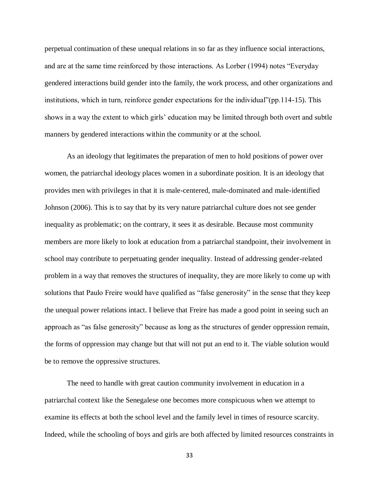perpetual continuation of these unequal relations in so far as they influence social interactions, and are at the same time reinforced by those interactions. As Lorber (1994) notes "Everyday gendered interactions build gender into the family, the work process, and other organizations and institutions, which in turn, reinforce gender expectations for the individual"(pp.114-15). This shows in a way the extent to which girls' education may be limited through both overt and subtle manners by gendered interactions within the community or at the school.

As an ideology that legitimates the preparation of men to hold positions of power over women, the patriarchal ideology places women in a subordinate position. It is an ideology that provides men with privileges in that it is male-centered, male-dominated and male-identified Johnson (2006). This is to say that by its very nature patriarchal culture does not see gender inequality as problematic; on the contrary, it sees it as desirable. Because most community members are more likely to look at education from a patriarchal standpoint, their involvement in school may contribute to perpetuating gender inequality. Instead of addressing gender-related problem in a way that removes the structures of inequality, they are more likely to come up with solutions that Paulo Freire would have qualified as "false generosity" in the sense that they keep the unequal power relations intact. I believe that Freire has made a good point in seeing such an approach as "as false generosity" because as long as the structures of gender oppression remain, the forms of oppression may change but that will not put an end to it. The viable solution would be to remove the oppressive structures.

The need to handle with great caution community involvement in education in a patriarchal context like the Senegalese one becomes more conspicuous when we attempt to examine its effects at both the school level and the family level in times of resource scarcity. Indeed, while the schooling of boys and girls are both affected by limited resources constraints in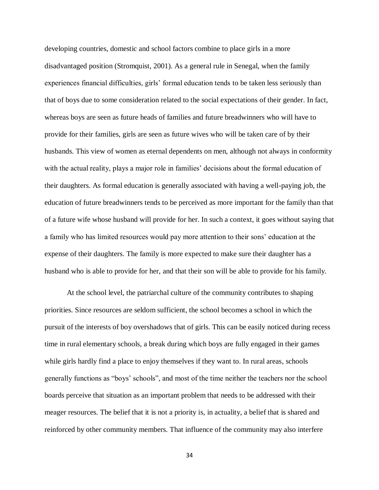developing countries, domestic and school factors combine to place girls in a more disadvantaged position (Stromquist, 2001). As a general rule in Senegal, when the family experiences financial difficulties, girls' formal education tends to be taken less seriously than that of boys due to some consideration related to the social expectations of their gender. In fact, whereas boys are seen as future heads of families and future breadwinners who will have to provide for their families, girls are seen as future wives who will be taken care of by their husbands. This view of women as eternal dependents on men, although not always in conformity with the actual reality, plays a major role in families' decisions about the formal education of their daughters. As formal education is generally associated with having a well-paying job, the education of future breadwinners tends to be perceived as more important for the family than that of a future wife whose husband will provide for her. In such a context, it goes without saying that a family who has limited resources would pay more attention to their sons' education at the expense of their daughters. The family is more expected to make sure their daughter has a husband who is able to provide for her, and that their son will be able to provide for his family.

At the school level, the patriarchal culture of the community contributes to shaping priorities. Since resources are seldom sufficient, the school becomes a school in which the pursuit of the interests of boy overshadows that of girls. This can be easily noticed during recess time in rural elementary schools, a break during which boys are fully engaged in their games while girls hardly find a place to enjoy themselves if they want to. In rural areas, schools generally functions as "boys' schools", and most of the time neither the teachers nor the school boards perceive that situation as an important problem that needs to be addressed with their meager resources. The belief that it is not a priority is, in actuality, a belief that is shared and reinforced by other community members. That influence of the community may also interfere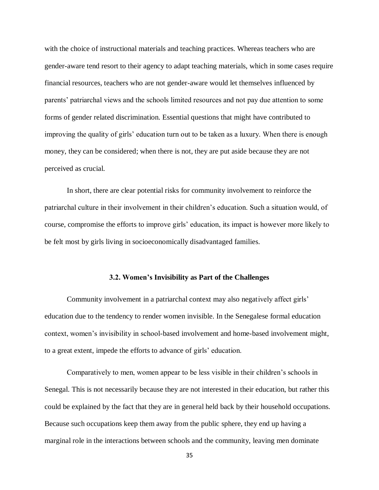with the choice of instructional materials and teaching practices. Whereas teachers who are gender-aware tend resort to their agency to adapt teaching materials, which in some cases require financial resources, teachers who are not gender-aware would let themselves influenced by parents' patriarchal views and the schools limited resources and not pay due attention to some forms of gender related discrimination. Essential questions that might have contributed to improving the quality of girls' education turn out to be taken as a luxury. When there is enough money, they can be considered; when there is not, they are put aside because they are not perceived as crucial.

In short, there are clear potential risks for community involvement to reinforce the patriarchal culture in their involvement in their children's education. Such a situation would, of course, compromise the efforts to improve girls' education, its impact is however more likely to be felt most by girls living in socioeconomically disadvantaged families.

#### **3.2. Women's Invisibility as Part of the Challenges**

<span id="page-42-0"></span>Community involvement in a patriarchal context may also negatively affect girls' education due to the tendency to render women invisible. In the Senegalese formal education context, women's invisibility in school-based involvement and home-based involvement might, to a great extent, impede the efforts to advance of girls' education.

Comparatively to men, women appear to be less visible in their children's schools in Senegal. This is not necessarily because they are not interested in their education, but rather this could be explained by the fact that they are in general held back by their household occupations. Because such occupations keep them away from the public sphere, they end up having a marginal role in the interactions between schools and the community, leaving men dominate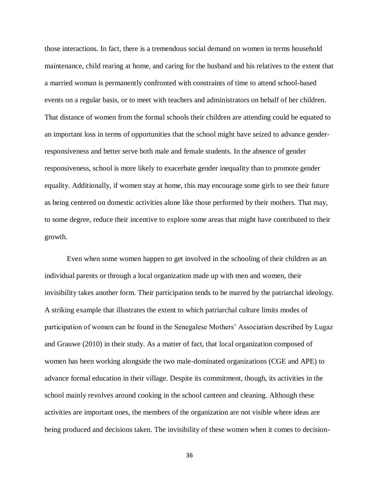those interactions. In fact, there is a tremendous social demand on women in terms household maintenance, child rearing at home, and caring for the husband and his relatives to the extent that a married woman is permanently confronted with constraints of time to attend school-based events on a regular basis, or to meet with teachers and administrators on behalf of her children. That distance of women from the formal schools their children are attending could be equated to an important loss in terms of opportunities that the school might have seized to advance genderresponsiveness and better serve both male and female students. In the absence of gender responsiveness, school is more likely to exacerbate gender inequality than to promote gender equality. Additionally, if women stay at home, this may encourage some girls to see their future as being centered on domestic activities alone like those performed by their mothers. That may, to some degree, reduce their incentive to explore some areas that might have contributed to their growth.

Even when some women happen to get involved in the schooling of their children as an individual parents or through a local organization made up with men and women, their invisibility takes another form. Their participation tends to be marred by the patriarchal ideology. A striking example that illustrates the extent to which patriarchal culture limits modes of participation of women can be found in the Senegalese Mothers' Association described by Lugaz and Grauwe (2010) in their study. As a matter of fact, that local organization composed of women has been working alongside the two male-dominated organizations (CGE and APE) to advance formal education in their village. Despite its commitment, though, its activities in the school mainly revolves around cooking in the school canteen and cleaning. Although these activities are important ones, the members of the organization are not visible where ideas are being produced and decisions taken. The invisibility of these women when it comes to decision-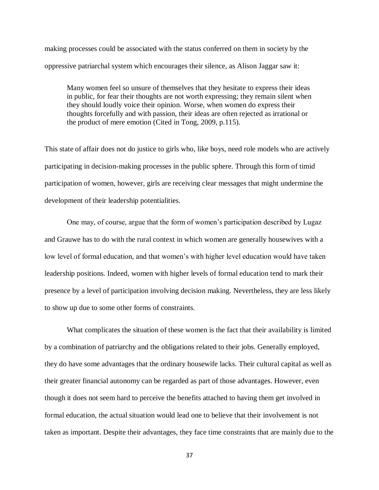making processes could be associated with the status conferred on them in society by the oppressive patriarchal system which encourages their silence, as Alison Jaggar saw it:

Many women feel so unsure of themselves that they hesitate to express their ideas in public, for fear their thoughts are not worth expressing; they remain silent when they should loudly voice their opinion. Worse, when women do express their thoughts forcefully and with passion, their ideas are often rejected as irrational or the product of mere emotion (Cited in Tong, 2009, p.115).

This state of affair does not do justice to girls who, like boys, need role models who are actively participating in decision-making processes in the public sphere. Through this form of timid participation of women, however, girls are receiving clear messages that might undermine the development of their leadership potentialities.

One may, of course, argue that the form of women's participation described by Lugaz and Grauwe has to do with the rural context in which women are generally housewives with a low level of formal education, and that women's with higher level education would have taken leadership positions. Indeed, women with higher levels of formal education tend to mark their presence by a level of participation involving decision making. Nevertheless, they are less likely to show up due to some other forms of constraints.

What complicates the situation of these women is the fact that their availability is limited by a combination of patriarchy and the obligations related to their jobs. Generally employed, they do have some advantages that the ordinary housewife lacks. Their cultural capital as well as their greater financial autonomy can be regarded as part of those advantages. However, even though it does not seem hard to perceive the benefits attached to having them get involved in formal education, the actual situation would lead one to believe that their involvement is not taken as important. Despite their advantages, they face time constraints that are mainly due to the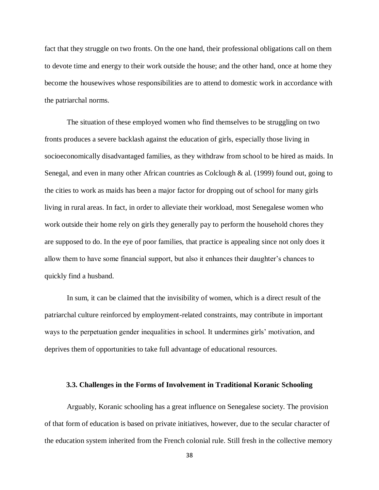fact that they struggle on two fronts. On the one hand, their professional obligations call on them to devote time and energy to their work outside the house; and the other hand, once at home they become the housewives whose responsibilities are to attend to domestic work in accordance with the patriarchal norms.

The situation of these employed women who find themselves to be struggling on two fronts produces a severe backlash against the education of girls, especially those living in socioeconomically disadvantaged families, as they withdraw from school to be hired as maids. In Senegal, and even in many other African countries as Colclough & al. (1999) found out, going to the cities to work as maids has been a major factor for dropping out of school for many girls living in rural areas. In fact, in order to alleviate their workload, most Senegalese women who work outside their home rely on girls they generally pay to perform the household chores they are supposed to do. In the eye of poor families, that practice is appealing since not only does it allow them to have some financial support, but also it enhances their daughter's chances to quickly find a husband.

In sum, it can be claimed that the invisibility of women, which is a direct result of the patriarchal culture reinforced by employment-related constraints, may contribute in important ways to the perpetuation gender inequalities in school. It undermines girls' motivation, and deprives them of opportunities to take full advantage of educational resources.

#### <span id="page-45-0"></span>**3.3. Challenges in the Forms of Involvement in Traditional Koranic Schooling**

Arguably, Koranic schooling has a great influence on Senegalese society. The provision of that form of education is based on private initiatives, however, due to the secular character of the education system inherited from the French colonial rule. Still fresh in the collective memory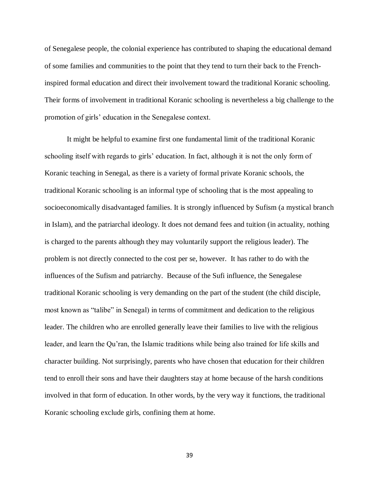of Senegalese people, the colonial experience has contributed to shaping the educational demand of some families and communities to the point that they tend to turn their back to the Frenchinspired formal education and direct their involvement toward the traditional Koranic schooling. Their forms of involvement in traditional Koranic schooling is nevertheless a big challenge to the promotion of girls' education in the Senegalese context.

It might be helpful to examine first one fundamental limit of the traditional Koranic schooling itself with regards to girls' education. In fact, although it is not the only form of Koranic teaching in Senegal, as there is a variety of formal private Koranic schools, the traditional Koranic schooling is an informal type of schooling that is the most appealing to socioeconomically disadvantaged families. It is strongly influenced by Sufism (a mystical branch in Islam), and the patriarchal ideology. It does not demand fees and tuition (in actuality, nothing is charged to the parents although they may voluntarily support the religious leader). The problem is not directly connected to the cost per se, however. It has rather to do with the influences of the Sufism and patriarchy. Because of the Sufi influence, the Senegalese traditional Koranic schooling is very demanding on the part of the student (the child disciple, most known as "talibe" in Senegal) in terms of commitment and dedication to the religious leader. The children who are enrolled generally leave their families to live with the religious leader, and learn the Qu'ran, the Islamic traditions while being also trained for life skills and character building. Not surprisingly, parents who have chosen that education for their children tend to enroll their sons and have their daughters stay at home because of the harsh conditions involved in that form of education. In other words, by the very way it functions, the traditional Koranic schooling exclude girls, confining them at home.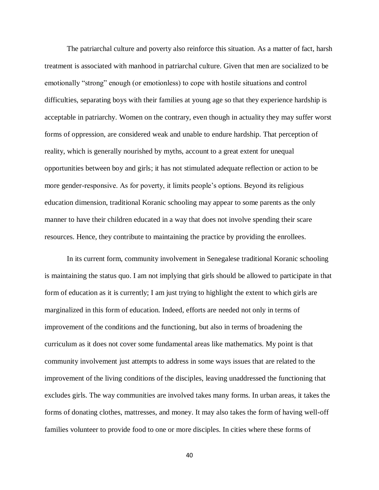The patriarchal culture and poverty also reinforce this situation. As a matter of fact, harsh treatment is associated with manhood in patriarchal culture. Given that men are socialized to be emotionally "strong" enough (or emotionless) to cope with hostile situations and control difficulties, separating boys with their families at young age so that they experience hardship is acceptable in patriarchy. Women on the contrary, even though in actuality they may suffer worst forms of oppression, are considered weak and unable to endure hardship. That perception of reality, which is generally nourished by myths, account to a great extent for unequal opportunities between boy and girls; it has not stimulated adequate reflection or action to be more gender-responsive. As for poverty, it limits people's options. Beyond its religious education dimension, traditional Koranic schooling may appear to some parents as the only manner to have their children educated in a way that does not involve spending their scare resources. Hence, they contribute to maintaining the practice by providing the enrollees.

In its current form, community involvement in Senegalese traditional Koranic schooling is maintaining the status quo. I am not implying that girls should be allowed to participate in that form of education as it is currently; I am just trying to highlight the extent to which girls are marginalized in this form of education. Indeed, efforts are needed not only in terms of improvement of the conditions and the functioning, but also in terms of broadening the curriculum as it does not cover some fundamental areas like mathematics. My point is that community involvement just attempts to address in some ways issues that are related to the improvement of the living conditions of the disciples, leaving unaddressed the functioning that excludes girls. The way communities are involved takes many forms. In urban areas, it takes the forms of donating clothes, mattresses, and money. It may also takes the form of having well-off families volunteer to provide food to one or more disciples. In cities where these forms of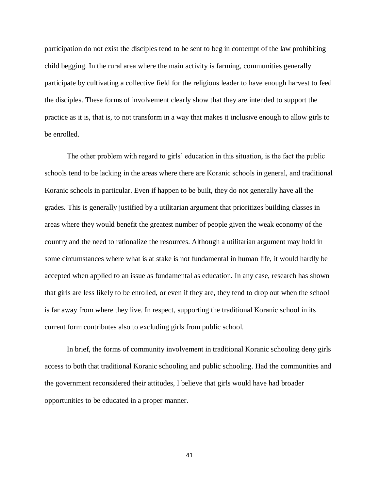participation do not exist the disciples tend to be sent to beg in contempt of the law prohibiting child begging. In the rural area where the main activity is farming, communities generally participate by cultivating a collective field for the religious leader to have enough harvest to feed the disciples. These forms of involvement clearly show that they are intended to support the practice as it is, that is, to not transform in a way that makes it inclusive enough to allow girls to be enrolled.

The other problem with regard to girls' education in this situation, is the fact the public schools tend to be lacking in the areas where there are Koranic schools in general, and traditional Koranic schools in particular. Even if happen to be built, they do not generally have all the grades. This is generally justified by a utilitarian argument that prioritizes building classes in areas where they would benefit the greatest number of people given the weak economy of the country and the need to rationalize the resources. Although a utilitarian argument may hold in some circumstances where what is at stake is not fundamental in human life, it would hardly be accepted when applied to an issue as fundamental as education. In any case, research has shown that girls are less likely to be enrolled, or even if they are, they tend to drop out when the school is far away from where they live. In respect, supporting the traditional Koranic school in its current form contributes also to excluding girls from public school.

In brief, the forms of community involvement in traditional Koranic schooling deny girls access to both that traditional Koranic schooling and public schooling. Had the communities and the government reconsidered their attitudes, I believe that girls would have had broader opportunities to be educated in a proper manner.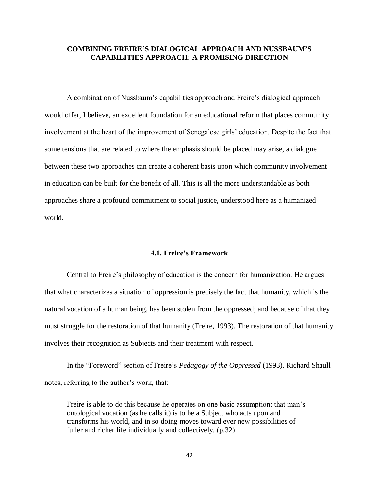#### <span id="page-49-0"></span>**COMBINING FREIRE'S DIALOGICAL APPROACH AND NUSSBAUM'S CAPABILITIES APPROACH: A PROMISING DIRECTION**

A combination of Nussbaum's capabilities approach and Freire's dialogical approach would offer, I believe, an excellent foundation for an educational reform that places community involvement at the heart of the improvement of Senegalese girls' education. Despite the fact that some tensions that are related to where the emphasis should be placed may arise, a dialogue between these two approaches can create a coherent basis upon which community involvement in education can be built for the benefit of all. This is all the more understandable as both approaches share a profound commitment to social justice, understood here as a humanized world.

#### **4.1. Freire's Framework**

<span id="page-49-1"></span>Central to Freire's philosophy of education is the concern for humanization. He argues that what characterizes a situation of oppression is precisely the fact that humanity, which is the natural vocation of a human being, has been stolen from the oppressed; and because of that they must struggle for the restoration of that humanity (Freire, 1993). The restoration of that humanity involves their recognition as Subjects and their treatment with respect.

In the "Foreword" section of Freire's *Pedagogy of the Oppressed* (1993), Richard Shaull notes, referring to the author's work, that:

Freire is able to do this because he operates on one basic assumption: that man's ontological vocation (as he calls it) is to be a Subject who acts upon and transforms his world, and in so doing moves toward ever new possibilities of fuller and richer life individually and collectively. (p.32)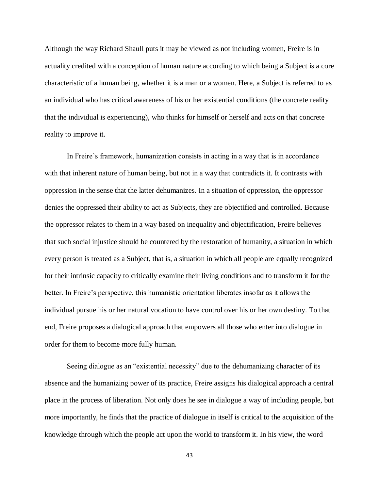Although the way Richard Shaull puts it may be viewed as not including women, Freire is in actuality credited with a conception of human nature according to which being a Subject is a core characteristic of a human being, whether it is a man or a women. Here, a Subject is referred to as an individual who has critical awareness of his or her existential conditions (the concrete reality that the individual is experiencing), who thinks for himself or herself and acts on that concrete reality to improve it.

In Freire's framework, humanization consists in acting in a way that is in accordance with that inherent nature of human being, but not in a way that contradicts it. It contrasts with oppression in the sense that the latter dehumanizes. In a situation of oppression, the oppressor denies the oppressed their ability to act as Subjects, they are objectified and controlled. Because the oppressor relates to them in a way based on inequality and objectification, Freire believes that such social injustice should be countered by the restoration of humanity, a situation in which every person is treated as a Subject, that is, a situation in which all people are equally recognized for their intrinsic capacity to critically examine their living conditions and to transform it for the better. In Freire's perspective, this humanistic orientation liberates insofar as it allows the individual pursue his or her natural vocation to have control over his or her own destiny. To that end, Freire proposes a dialogical approach that empowers all those who enter into dialogue in order for them to become more fully human.

Seeing dialogue as an "existential necessity" due to the dehumanizing character of its absence and the humanizing power of its practice, Freire assigns his dialogical approach a central place in the process of liberation. Not only does he see in dialogue a way of including people, but more importantly, he finds that the practice of dialogue in itself is critical to the acquisition of the knowledge through which the people act upon the world to transform it. In his view, the word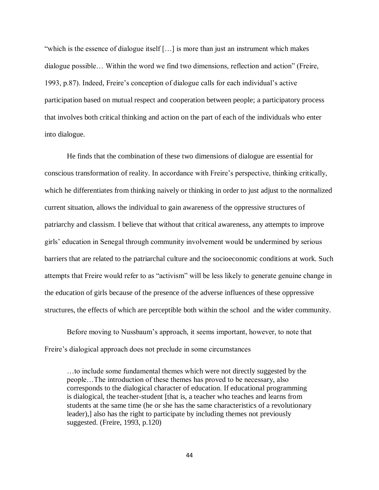"which is the essence of dialogue itself […] is more than just an instrument which makes dialogue possible… Within the word we find two dimensions, reflection and action" (Freire, 1993, p.87). Indeed, Freire's conception of dialogue calls for each individual's active participation based on mutual respect and cooperation between people; a participatory process that involves both critical thinking and action on the part of each of the individuals who enter into dialogue.

He finds that the combination of these two dimensions of dialogue are essential for conscious transformation of reality. In accordance with Freire's perspective, thinking critically, which he differentiates from thinking naively or thinking in order to just adjust to the normalized current situation, allows the individual to gain awareness of the oppressive structures of patriarchy and classism. I believe that without that critical awareness, any attempts to improve girls' education in Senegal through community involvement would be undermined by serious barriers that are related to the patriarchal culture and the socioeconomic conditions at work. Such attempts that Freire would refer to as "activism" will be less likely to generate genuine change in the education of girls because of the presence of the adverse influences of these oppressive structures, the effects of which are perceptible both within the school and the wider community.

Before moving to Nussbaum's approach, it seems important, however, to note that Freire's dialogical approach does not preclude in some circumstances

…to include some fundamental themes which were not directly suggested by the people…The introduction of these themes has proved to be necessary, also corresponds to the dialogical character of education. If educational programming is dialogical, the teacher-student [that is, a teacher who teaches and learns from students at the same time (he or she has the same characteristics of a revolutionary leader),] also has the right to participate by including themes not previously suggested. (Freire, 1993, p.120)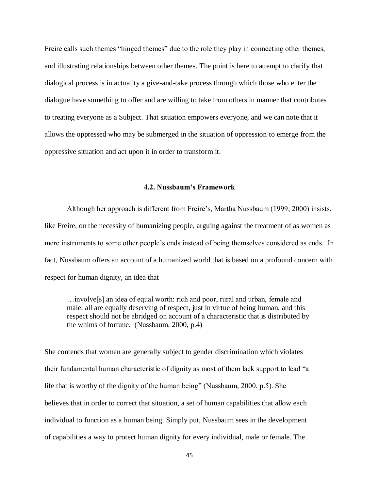Freire calls such themes "hinged themes" due to the role they play in connecting other themes, and illustrating relationships between other themes. The point is here to attempt to clarify that dialogical process is in actuality a give-and-take process through which those who enter the dialogue have something to offer and are willing to take from others in manner that contributes to treating everyone as a Subject. That situation empowers everyone, and we can note that it allows the oppressed who may be submerged in the situation of oppression to emerge from the oppressive situation and act upon it in order to transform it.

#### **4.2. Nussbaum's Framework**

<span id="page-52-0"></span>Although her approach is different from Freire's, Martha Nussbaum (1999; 2000) insists, like Freire, on the necessity of humanizing people, arguing against the treatment of as women as mere instruments to some other people's ends instead of being themselves considered as ends. In fact, Nussbaum offers an account of a humanized world that is based on a profound concern with respect for human dignity, an idea that

…involve[s] an idea of equal worth: rich and poor, rural and urban, female and male, all are equally deserving of respect, just in virtue of being human, and this respect should not be abridged on account of a characteristic that is distributed by the whims of fortune. (Nussbaum, 2000, p.4)

She contends that women are generally subject to gender discrimination which violates their fundamental human characteristic of dignity as most of them lack support to lead "a life that is worthy of the dignity of the human being" (Nussbaum, 2000, p.5). She believes that in order to correct that situation, a set of human capabilities that allow each individual to function as a human being. Simply put, Nussbaum sees in the development of capabilities a way to protect human dignity for every individual, male or female. The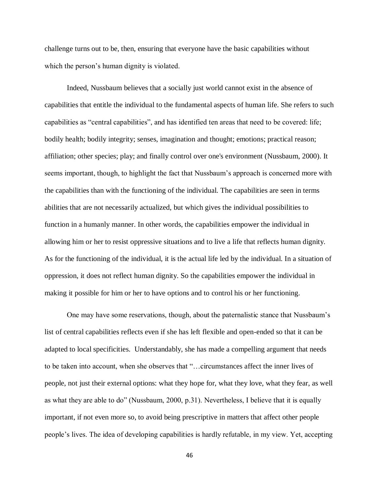challenge turns out to be, then, ensuring that everyone have the basic capabilities without which the person's human dignity is violated.

Indeed, Nussbaum believes that a socially just world cannot exist in the absence of capabilities that entitle the individual to the fundamental aspects of human life. She refers to such capabilities as "central capabilities", and has identified ten areas that need to be covered: life; bodily health; bodily integrity; senses, imagination and thought; emotions; practical reason; affiliation; other species; play; and finally control over one's environment (Nussbaum, 2000). It seems important, though, to highlight the fact that Nussbaum's approach is concerned more with the capabilities than with the functioning of the individual. The capabilities are seen in terms abilities that are not necessarily actualized, but which gives the individual possibilities to function in a humanly manner. In other words, the capabilities empower the individual in allowing him or her to resist oppressive situations and to live a life that reflects human dignity. As for the functioning of the individual, it is the actual life led by the individual. In a situation of oppression, it does not reflect human dignity. So the capabilities empower the individual in making it possible for him or her to have options and to control his or her functioning.

One may have some reservations, though, about the paternalistic stance that Nussbaum's list of central capabilities reflects even if she has left flexible and open-ended so that it can be adapted to local specificities. Understandably, she has made a compelling argument that needs to be taken into account, when she observes that "…circumstances affect the inner lives of people, not just their external options: what they hope for, what they love, what they fear, as well as what they are able to do" (Nussbaum, 2000, p.31). Nevertheless, I believe that it is equally important, if not even more so, to avoid being prescriptive in matters that affect other people people's lives. The idea of developing capabilities is hardly refutable, in my view. Yet, accepting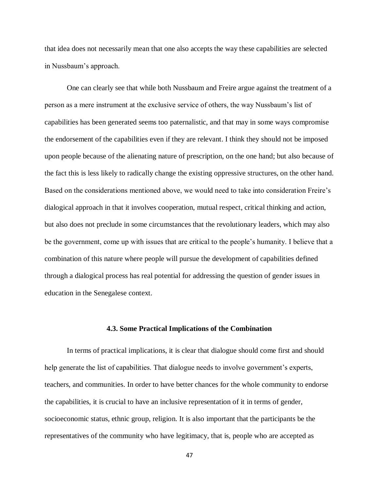that idea does not necessarily mean that one also accepts the way these capabilities are selected in Nussbaum's approach.

One can clearly see that while both Nussbaum and Freire argue against the treatment of a person as a mere instrument at the exclusive service of others, the way Nussbaum's list of capabilities has been generated seems too paternalistic, and that may in some ways compromise the endorsement of the capabilities even if they are relevant. I think they should not be imposed upon people because of the alienating nature of prescription, on the one hand; but also because of the fact this is less likely to radically change the existing oppressive structures, on the other hand. Based on the considerations mentioned above, we would need to take into consideration Freire's dialogical approach in that it involves cooperation, mutual respect, critical thinking and action, but also does not preclude in some circumstances that the revolutionary leaders, which may also be the government, come up with issues that are critical to the people's humanity. I believe that a combination of this nature where people will pursue the development of capabilities defined through a dialogical process has real potential for addressing the question of gender issues in education in the Senegalese context.

#### **4.3. Some Practical Implications of the Combination**

<span id="page-54-0"></span>In terms of practical implications, it is clear that dialogue should come first and should help generate the list of capabilities. That dialogue needs to involve government's experts, teachers, and communities. In order to have better chances for the whole community to endorse the capabilities, it is crucial to have an inclusive representation of it in terms of gender, socioeconomic status, ethnic group, religion. It is also important that the participants be the representatives of the community who have legitimacy, that is, people who are accepted as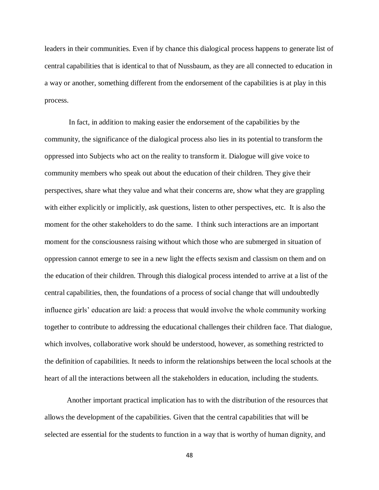leaders in their communities. Even if by chance this dialogical process happens to generate list of central capabilities that is identical to that of Nussbaum, as they are all connected to education in a way or another, something different from the endorsement of the capabilities is at play in this process.

 In fact, in addition to making easier the endorsement of the capabilities by the community, the significance of the dialogical process also lies in its potential to transform the oppressed into Subjects who act on the reality to transform it. Dialogue will give voice to community members who speak out about the education of their children. They give their perspectives, share what they value and what their concerns are, show what they are grappling with either explicitly or implicitly, ask questions, listen to other perspectives, etc. It is also the moment for the other stakeholders to do the same. I think such interactions are an important moment for the consciousness raising without which those who are submerged in situation of oppression cannot emerge to see in a new light the effects sexism and classism on them and on the education of their children. Through this dialogical process intended to arrive at a list of the central capabilities, then, the foundations of a process of social change that will undoubtedly influence girls' education are laid: a process that would involve the whole community working together to contribute to addressing the educational challenges their children face. That dialogue, which involves, collaborative work should be understood, however, as something restricted to the definition of capabilities. It needs to inform the relationships between the local schools at the heart of all the interactions between all the stakeholders in education, including the students.

Another important practical implication has to with the distribution of the resources that allows the development of the capabilities. Given that the central capabilities that will be selected are essential for the students to function in a way that is worthy of human dignity, and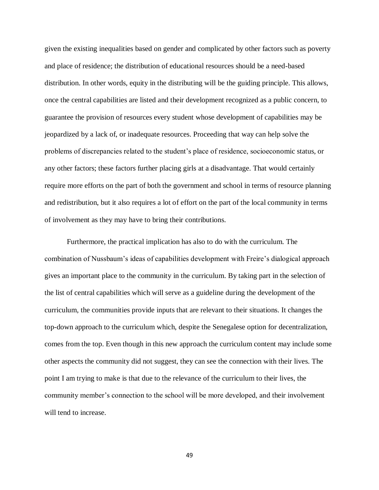given the existing inequalities based on gender and complicated by other factors such as poverty and place of residence; the distribution of educational resources should be a need-based distribution. In other words, equity in the distributing will be the guiding principle. This allows, once the central capabilities are listed and their development recognized as a public concern, to guarantee the provision of resources every student whose development of capabilities may be jeopardized by a lack of, or inadequate resources. Proceeding that way can help solve the problems of discrepancies related to the student's place of residence, socioeconomic status, or any other factors; these factors further placing girls at a disadvantage. That would certainly require more efforts on the part of both the government and school in terms of resource planning and redistribution, but it also requires a lot of effort on the part of the local community in terms of involvement as they may have to bring their contributions.

Furthermore, the practical implication has also to do with the curriculum. The combination of Nussbaum's ideas of capabilities development with Freire's dialogical approach gives an important place to the community in the curriculum. By taking part in the selection of the list of central capabilities which will serve as a guideline during the development of the curriculum, the communities provide inputs that are relevant to their situations. It changes the top-down approach to the curriculum which, despite the Senegalese option for decentralization, comes from the top. Even though in this new approach the curriculum content may include some other aspects the community did not suggest, they can see the connection with their lives. The point I am trying to make is that due to the relevance of the curriculum to their lives, the community member's connection to the school will be more developed, and their involvement will tend to increase.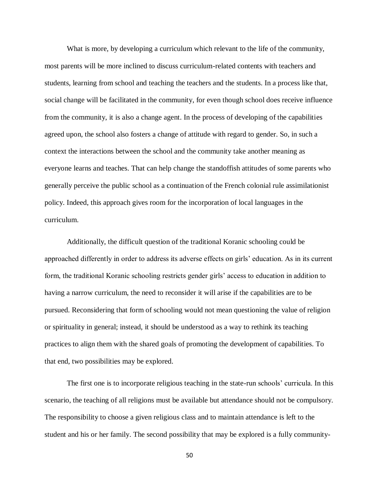What is more, by developing a curriculum which relevant to the life of the community, most parents will be more inclined to discuss curriculum-related contents with teachers and students, learning from school and teaching the teachers and the students. In a process like that, social change will be facilitated in the community, for even though school does receive influence from the community, it is also a change agent. In the process of developing of the capabilities agreed upon, the school also fosters a change of attitude with regard to gender. So, in such a context the interactions between the school and the community take another meaning as everyone learns and teaches. That can help change the standoffish attitudes of some parents who generally perceive the public school as a continuation of the French colonial rule assimilationist policy. Indeed, this approach gives room for the incorporation of local languages in the curriculum.

Additionally, the difficult question of the traditional Koranic schooling could be approached differently in order to address its adverse effects on girls' education. As in its current form, the traditional Koranic schooling restricts gender girls' access to education in addition to having a narrow curriculum, the need to reconsider it will arise if the capabilities are to be pursued. Reconsidering that form of schooling would not mean questioning the value of religion or spirituality in general; instead, it should be understood as a way to rethink its teaching practices to align them with the shared goals of promoting the development of capabilities. To that end, two possibilities may be explored.

The first one is to incorporate religious teaching in the state-run schools' curricula. In this scenario, the teaching of all religions must be available but attendance should not be compulsory. The responsibility to choose a given religious class and to maintain attendance is left to the student and his or her family. The second possibility that may be explored is a fully community-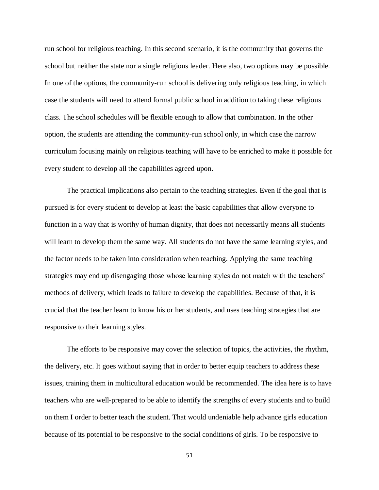run school for religious teaching. In this second scenario, it is the community that governs the school but neither the state nor a single religious leader. Here also, two options may be possible. In one of the options, the community-run school is delivering only religious teaching, in which case the students will need to attend formal public school in addition to taking these religious class. The school schedules will be flexible enough to allow that combination. In the other option, the students are attending the community-run school only, in which case the narrow curriculum focusing mainly on religious teaching will have to be enriched to make it possible for every student to develop all the capabilities agreed upon.

The practical implications also pertain to the teaching strategies. Even if the goal that is pursued is for every student to develop at least the basic capabilities that allow everyone to function in a way that is worthy of human dignity, that does not necessarily means all students will learn to develop them the same way. All students do not have the same learning styles, and the factor needs to be taken into consideration when teaching. Applying the same teaching strategies may end up disengaging those whose learning styles do not match with the teachers' methods of delivery, which leads to failure to develop the capabilities. Because of that, it is crucial that the teacher learn to know his or her students, and uses teaching strategies that are responsive to their learning styles.

The efforts to be responsive may cover the selection of topics, the activities, the rhythm, the delivery, etc. It goes without saying that in order to better equip teachers to address these issues, training them in multicultural education would be recommended. The idea here is to have teachers who are well-prepared to be able to identify the strengths of every students and to build on them I order to better teach the student. That would undeniable help advance girls education because of its potential to be responsive to the social conditions of girls. To be responsive to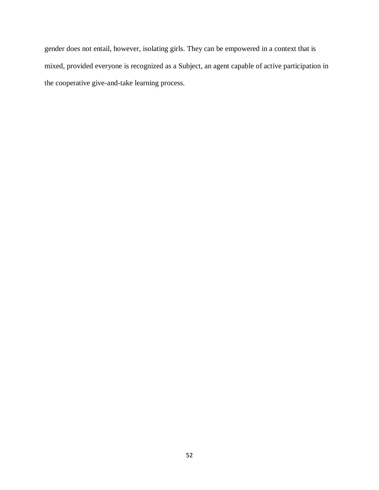gender does not entail, however, isolating girls. They can be empowered in a context that is mixed, provided everyone is recognized as a Subject, an agent capable of active participation in the cooperative give-and-take learning process.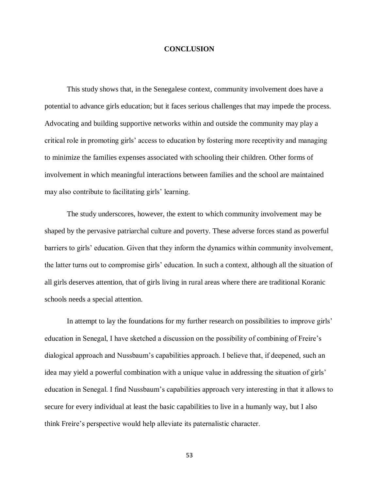#### **CONCLUSION**

<span id="page-60-0"></span>This study shows that, in the Senegalese context, community involvement does have a potential to advance girls education; but it faces serious challenges that may impede the process. Advocating and building supportive networks within and outside the community may play a critical role in promoting girls' access to education by fostering more receptivity and managing to minimize the families expenses associated with schooling their children. Other forms of involvement in which meaningful interactions between families and the school are maintained may also contribute to facilitating girls' learning.

The study underscores, however, the extent to which community involvement may be shaped by the pervasive patriarchal culture and poverty. These adverse forces stand as powerful barriers to girls' education. Given that they inform the dynamics within community involvement, the latter turns out to compromise girls' education. In such a context, although all the situation of all girls deserves attention, that of girls living in rural areas where there are traditional Koranic schools needs a special attention.

In attempt to lay the foundations for my further research on possibilities to improve girls' education in Senegal, I have sketched a discussion on the possibility of combining of Freire's dialogical approach and Nussbaum's capabilities approach. I believe that, if deepened, such an idea may yield a powerful combination with a unique value in addressing the situation of girls' education in Senegal. I find Nussbaum's capabilities approach very interesting in that it allows to secure for every individual at least the basic capabilities to live in a humanly way, but I also think Freire's perspective would help alleviate its paternalistic character.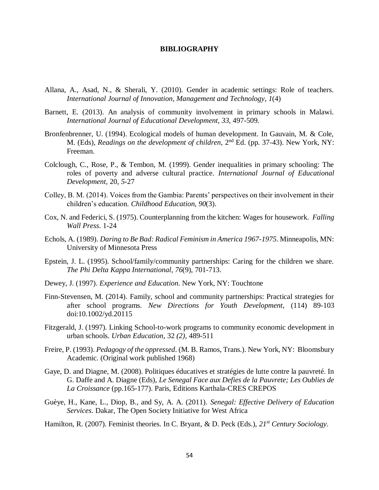#### **BIBLIOGRAPHY**

- <span id="page-61-0"></span>Allana, A., Asad, N., & Sherali, Y. (2010). Gender in academic settings: Role of teachers. *International Journal of Innovation, Management and Technology*, *1*(4)
- Barnett, E. (2013). An analysis of community involvement in primary schools in Malawi. *International Journal of Educational Development*, *33*, 497-509.
- Bronfenbrenner, U. (1994). Ecological models of human development. In Gauvain, M. & Cole, M. (Eds), *Readings on the development of children*, 2nd Ed. (pp. 37-43). New York, NY: Freeman.
- Colclough, C., Rose, P., & Tembon, M. (1999). Gender inequalities in primary schooling: The roles of poverty and adverse cultural practice. *International Journal of Educational Development,* 20, *5-*27
- Colley, B. M. (2014). Voices from the Gambia: Parents' perspectives on their involvement in their children's education. *Childhood Education*, *90*(3).
- Cox, N. and Federici, S. (1975). Counterplanning from the kitchen: Wages for housework. *Falling Wall Press*. 1-24
- Echols, A. (1989). *Daring to Be Bad: Radical Feminism in America 1967-1975*. Minneapolis, MN: University of Minnesota Press
- Epstein, J. L. (1995). School/family/community partnerships: Caring for the children we share. *The Phi Delta Kappa International*, *76*(9), 701-713.
- Dewey, J. (1997). *Experience and Education*. New York, NY: Touchtone
- Finn-Stevensen, M. (2014). Family, school and community partnerships: Practical strategies for after school programs. *New Directions for Youth Development*, (114) 89-103 doi:10.1002/yd.20115
- Fitzgerald, J. (1997). Linking School-to-work programs to community economic development in urban schools. *Urban Education*, 32 *(2),* 489-511
- Freire, P. (1993). *Pedagogy of the oppressed*. (M. B. Ramos, Trans.). New York, NY: Bloomsbury Academic. (Original work published 1968)
- Gaye, D. and Diagne, M. (2008). Politiques éducatives et stratégies de lutte contre la pauvreté. In G. Daffe and A. Diagne (Eds), *Le Senegal Face aux Defies de la Pauvrete; Les Oublies de La Croissance* (pp.165-177). Paris, Editions Karthala-CRES CREPOS
- Guèye, H., Kane, L., Diop, B., and Sy, A. A. (2011). *Senegal: Effective Delivery of Education Services*. Dakar, The Open Society Initiative for West Africa

Hamilton, R. (2007). Feminist theories. In C. Bryant, & D. Peck (Eds.), *21st Century Sociology*.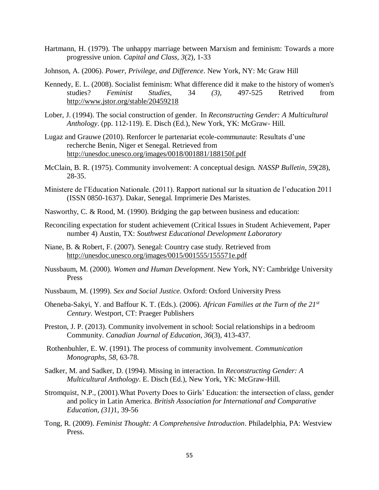- Hartmann, H. (1979). The unhappy marriage between Marxism and feminism: Towards a more progressive union. *Capital and Class, 3*(2), 1-33
- Johnson, A. (2006). *Power, Privilege, and Difference*. New York, NY: Mc Graw Hill
- Kennedy, E. L. (2008). Socialist feminism: What difference did it make to the history of women's studies? *Feminist Studies,* 34 *(3),* 497-525 Retrived from <http://www.jstor.org/stable/20459218>
- Lober, J. (1994). The social construction of gender. In *Reconstructing Gender: A Multicultural Anthology*. (pp. 112-119). E. Disch (Ed.), New York, YK: McGraw- Hill.
- Lugaz and Grauwe (2010). Renforcer le partenariat ecole-communaute: Resultats d'une recherche Benin, Niger et Senegal. Retrieved from <http://unesdoc.unesco.org/images/0018/001881/188150f.pdf>
- McClain, B. R. (1975). Community involvement: A conceptual design. *NASSP Bulletin*, *59*(28), 28-35.
- Ministere de l'Education Nationale. (2011). Rapport national sur la situation de l'education 2011 (ISSN 0850-1637). Dakar, Senegal. Imprimerie Des Maristes.
- Nasworthy, C. & Rood, M. (1990). Bridging the gap between business and education:
- Reconciling expectation for student achievement (Critical Issues in Student Achievement, Paper number 4) Austin, TX: *Southwest Educational Development Laboratory*
- Niane, B. & Robert, F. (2007). Senegal: Country case study. Retrieved from <http://unesdoc.unesco.org/images/0015/001555/155571e.pdf>
- Nussbaum, M. (2000). *Women and Human Development*. New York, NY: Cambridge University Press
- Nussbaum, M. (1999). *Sex and Social Justice*. Oxford: Oxford University Press
- Oheneba-Sakyi, Y. and Baffour K. T. (Eds.). (2006). *African Families at the Turn of the 21st Century*. Westport, CT: Praeger Publishers
- Preston, J. P. (2013). Community involvement in school: Social relationships in a bedroom Community. *Canadian Journal of Education*, *36*(3), 413-437.
- Rothenbuhler, E. W. (1991). The process of community involvement. *Communication Monographs*, *58,* 63-78.
- Sadker, M. and Sadker, D. (1994). Missing in interaction. In *Reconstructing Gender: A Multicultural Anthology*. E. Disch (Ed.), New York, YK: McGraw-Hill.
- Stromquist, N.P., (2001).What Poverty Does to Girls' Education: the intersection of class, gender and policy in Latin America. *British Association for International and Comparative Education, (31)*1, 39-56
- Tong, R. (2009). *Feminist Thought: A Comprehensive Introduction*. Philadelphia, PA: Westview Press.